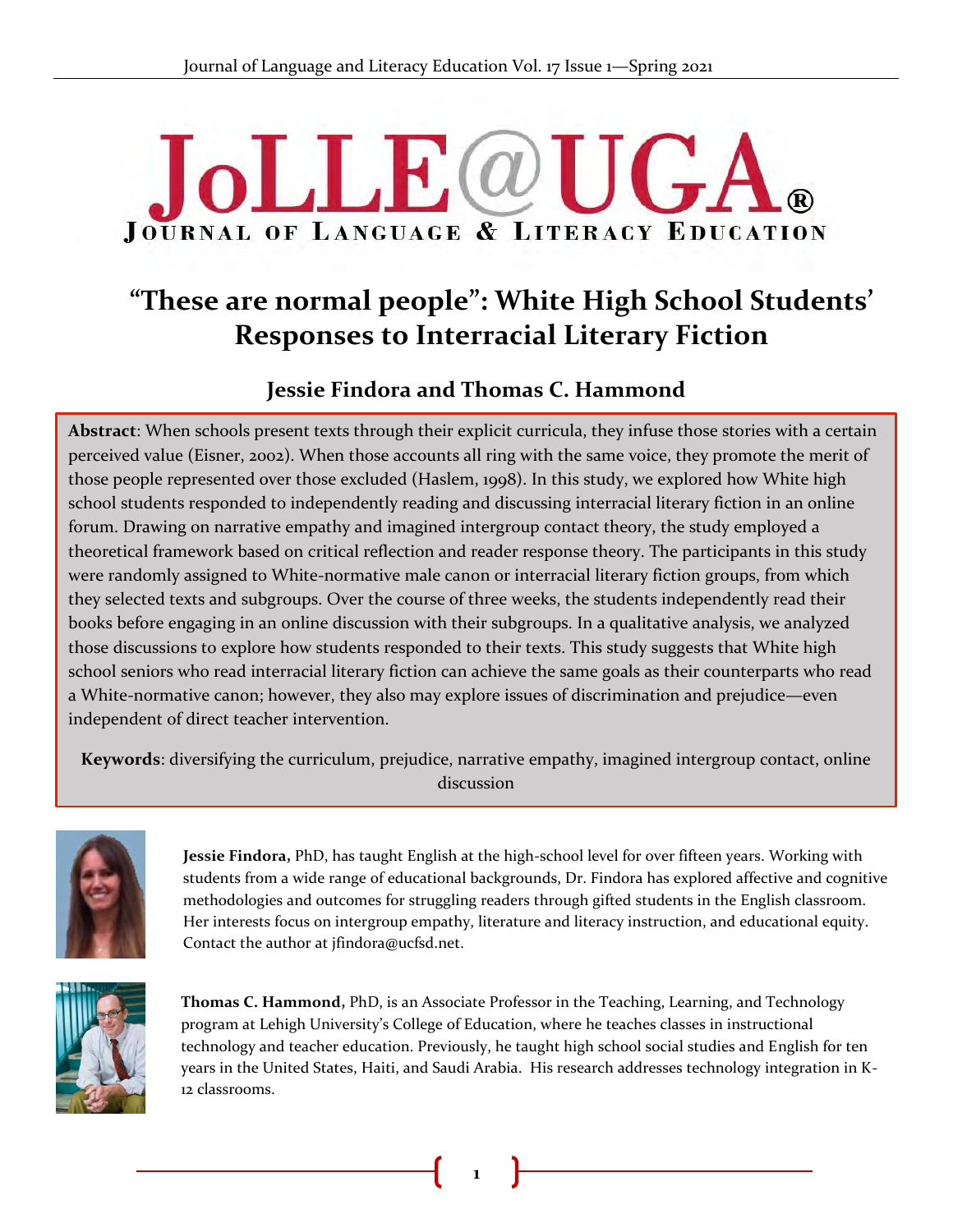# **JoLLE**@U **JOURNAL OF LANGUAGE & LITERACY EDUCATION**

# **"These are normal people": White High School Students' Responses to Interracial Literary Fiction**

# **Jessie Findora and Thomas C. Hammond**

**Abstract**: When schools present texts through their explicit curricula, they infuse those stories with a certain perceived value (Eisner, 2002). When those accounts all ring with the same voice, they promote the merit of those people represented over those excluded (Haslem, 1998). In this study, we explored how White high & school students responded to independently reading and discussing interracial literary fiction in an online forum. Drawing on narrative empathy and imagined intergroup contact theory, the study employed a theoretical framework based on critical reflection and reader response theory. The participants in this study were randomly assigned to White-normative male canon or interracial literary fiction groups, from which they selected texts and subgroups. Over the course of three weeks, the students independently read their books before engaging in an online discussion with their subgroups. In a qualitative analysis, we analyzed those discussions to explore how students responded to their texts. This study suggests that White high school seniors who read interracial literary fiction can achieve the same goals as their counterparts who read a White-normative canon; however, they also may explore issues of discrimination and prejudice—even independent of direct teacher intervention.

**Keywords**: diversifying the curriculum, prejudice, narrative empathy, imagined intergroup contact, online discussion



**Jessie Findora,** PhD, has taught English at the high-school level for over fifteen years. Working with students from a wide range of educational backgrounds, Dr. Findora has explored affective and cognitive methodologies and outcomes for struggling readers through gifted students in the English classroom. Her interests focus on intergroup empathy, literature and literacy instruction, and educational equity. Contact the author at jfindora@ucfsd.net.



**Thomas C. Hammond,** PhD, is an Associate Professor in the Teaching, Learning, and Technology program at Lehigh University's College of Education, where he teaches classes in instructional technology and teacher education. Previously, he taught high school social studies and English for ten years in the United States, Haiti, and Saudi Arabia. His research addresses technology integration in K-12 classrooms.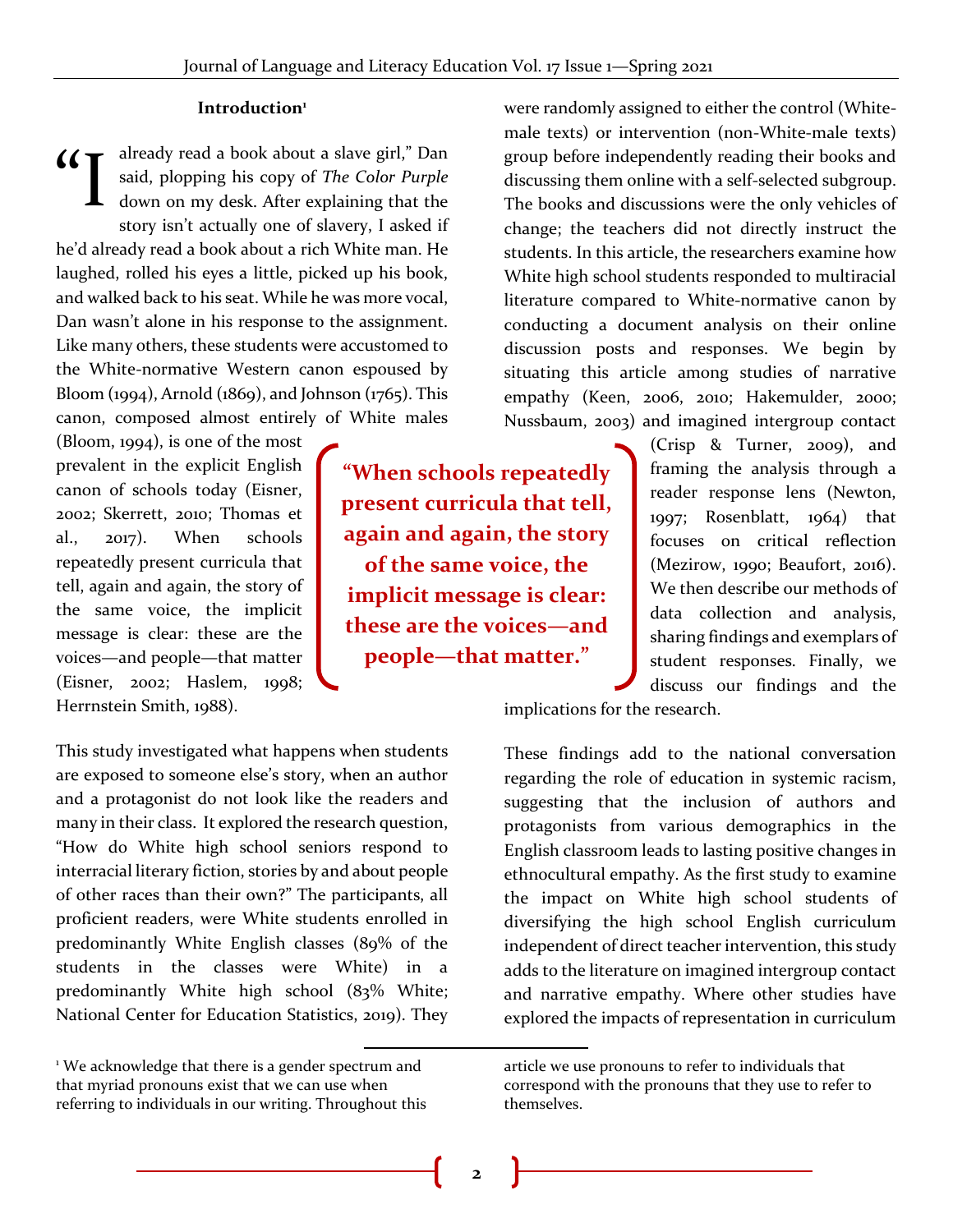#### **Introduction<sup>1</sup>**

already read a book about a slave girl," Dan said, plopping his copy of *The Color Purple* down on my desk. After explaining that the story isn't actually one of slavery, I asked if he'd already read a book about a rich White man. He laughed, rolled his eyes a little, picked up his book, and walked back to his seat. While he was more vocal, Dan wasn't alone in his response to the assignment. Like many others, these students were accustomed to the White-normative Western canon espoused by Bloom (1994), Arnold (1869), and Johnson (1765). This canon, composed almost entirely of White males  $\mathcal{L}$ 

(Bloom, 1994), is one of the most prevalent in the explicit English canon of schools today (Eisner, 2002; Skerrett, 2010; Thomas et al., 2017). When schools repeatedly present curricula that tell, again and again, the story of the same voice, the implicit message is clear: these are the voices—and people—that matter (Eisner, 2002; Haslem, 1998; Herrnstein Smith, 1988).

**"When schools repeatedly present curricula that tell, again and again, the story of the same voice, the implicit message is clear: these are the voices—and people—that matter."** 

were randomly assigned to either the control (Whitemale texts) or intervention (non-White-male texts) group before independently reading their books and discussing them online with a self-selected subgroup. The books and discussions were the only vehicles of change; the teachers did not directly instruct the students. In this article, the researchers examine how White high school students responded to multiracial literature compared to White-normative canon by conducting a document analysis on their online discussion posts and responses. We begin by situating this article among studies of narrative empathy (Keen, 2006, 2010; Hakemulder, 2000; Nussbaum, 2003) and imagined intergroup contact

> (Crisp & Turner, 2009), and framing the analysis through a reader response lens (Newton, 1997; Rosenblatt, 1964) that focuses on critical reflection (Mezirow, 1990; Beaufort, 2016). We then describe our methods of data collection and analysis, sharing findings and exemplars of student responses. Finally, we discuss our findings and the

implications for the research.

These findings add to the national conversation regarding the role of education in systemic racism, suggesting that the inclusion of authors and protagonists from various demographics in the English classroom leads to lasting positive changes in ethnocultural empathy. As the first study to examine the impact on White high school students of diversifying the high school English curriculum independent of direct teacher intervention, this study adds to the literature on imagined intergroup contact and narrative empathy. Where other studies have explored the impacts of representation in curriculum

This study investigated what happens when students are exposed to someone else's story, when an author and a protagonist do not look like the readers and many in their class. It explored the research question, "How do White high school seniors respond to interracial literary fiction, stories by and about people of other races than their own?" The participants, all proficient readers, were White students enrolled in predominantly White English classes (89% of the students in the classes were White) in a predominantly White high school (83% White; National Center for Education Statistics, 2019). They

article we use pronouns to refer to individuals that correspond with the pronouns that they use to refer to themselves.

<sup>&</sup>lt;sup>1</sup> We acknowledge that there is a gender spectrum and that myriad pronouns exist that we can use when referring to individuals in our writing. Throughout this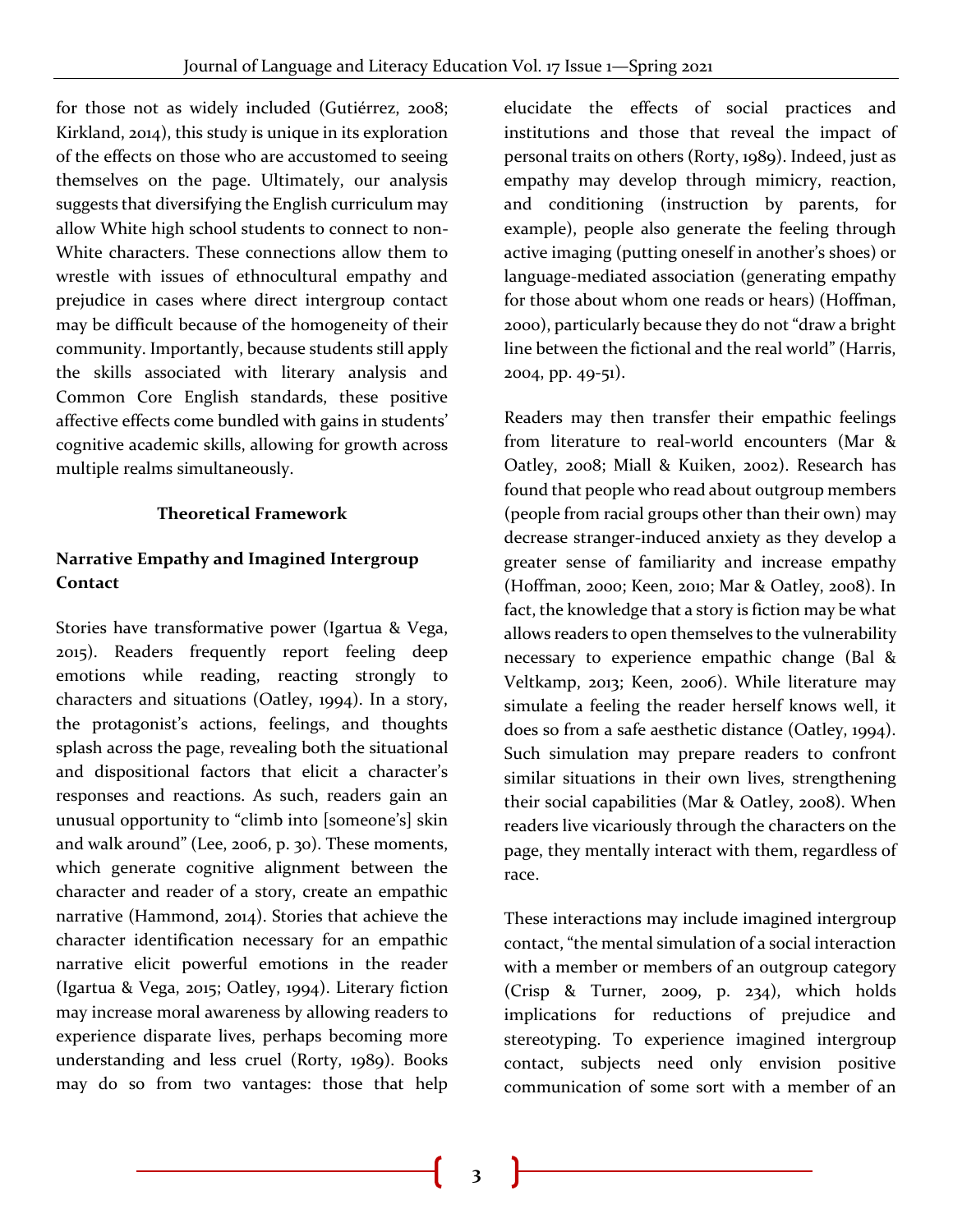for those not as widely included (Gutiérrez, 2008; Kirkland, 2014), this study is unique in its exploration of the effects on those who are accustomed to seeing themselves on the page. Ultimately, our analysis suggests that diversifying the English curriculum may allow White high school students to connect to non-White characters. These connections allow them to wrestle with issues of ethnocultural empathy and prejudice in cases where direct intergroup contact may be difficult because of the homogeneity of their community. Importantly, because students still apply the skills associated with literary analysis and Common Core English standards, these positive affective effects come bundled with gains in students' cognitive academic skills, allowing for growth across multiple realms simultaneously.

# **Theoretical Framework**

# **Narrative Empathy and Imagined Intergroup Contact**

Stories have transformative power (Igartua & Vega, 2015). Readers frequently report feeling deep emotions while reading, reacting strongly to characters and situations (Oatley, 1994). In a story, the protagonist's actions, feelings, and thoughts splash across the page, revealing both the situational and dispositional factors that elicit a character's responses and reactions. As such, readers gain an unusual opportunity to "climb into [someone's] skin and walk around" (Lee, 2006, p. 30). These moments, which generate cognitive alignment between the character and reader of a story, create an empathic narrative (Hammond, 2014). Stories that achieve the character identification necessary for an empathic narrative elicit powerful emotions in the reader (Igartua & Vega, 2015; Oatley, 1994). Literary fiction may increase moral awareness by allowing readers to experience disparate lives, perhaps becoming more understanding and less cruel (Rorty, 1989). Books may do so from two vantages: those that help

elucidate the effects of social practices and institutions and those that reveal the impact of personal traits on others (Rorty, 1989). Indeed, just as empathy may develop through mimicry, reaction, and conditioning (instruction by parents, for example), people also generate the feeling through active imaging (putting oneself in another's shoes) or language-mediated association (generating empathy for those about whom one reads or hears) (Hoffman, 2000), particularly because they do not "draw a bright line between the fictional and the real world" (Harris, 2004, pp. 49-51).

Readers may then transfer their empathic feelings from literature to real-world encounters (Mar & Oatley, 2008; Miall & Kuiken, 2002). Research has found that people who read about outgroup members (people from racial groups other than their own) may decrease stranger-induced anxiety as they develop a greater sense of familiarity and increase empathy (Hoffman, 2000; Keen, 2010; Mar & Oatley, 2008). In fact, the knowledge that a story is fiction may be what allows readers to open themselves to the vulnerability necessary to experience empathic change (Bal & Veltkamp, 2013; Keen, 2006). While literature may simulate a feeling the reader herself knows well, it does so from a safe aesthetic distance (Oatley, 1994). Such simulation may prepare readers to confront similar situations in their own lives, strengthening their social capabilities (Mar & Oatley, 2008). When readers live vicariously through the characters on the page, they mentally interact with them, regardless of race.

These interactions may include imagined intergroup contact, "the mental simulation of a social interaction with a member or members of an outgroup category (Crisp & Turner, 2009, p. 234), which holds implications for reductions of prejudice and stereotyping. To experience imagined intergroup contact, subjects need only envision positive communication of some sort with a member of an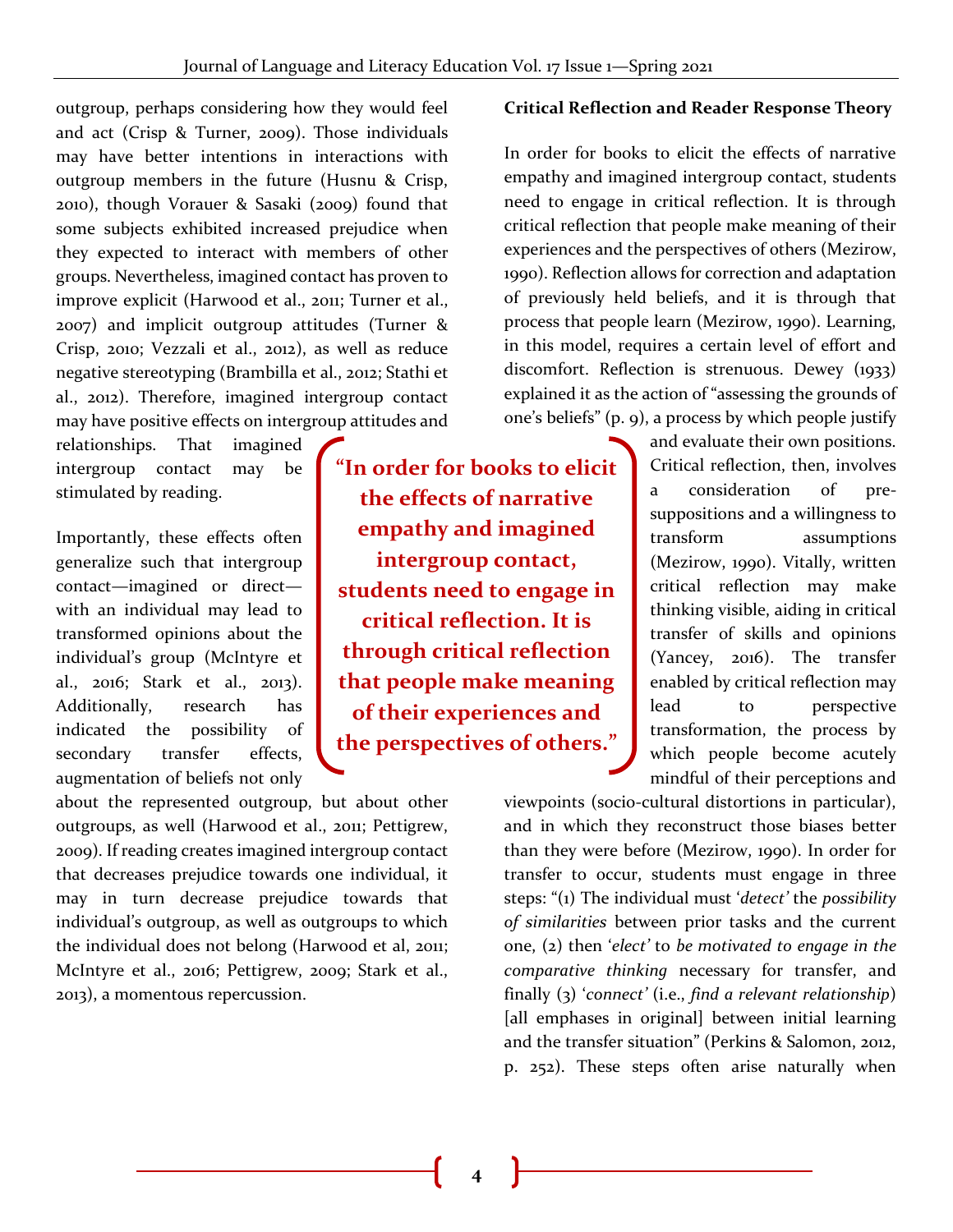outgroup, perhaps considering how they would feel and act (Crisp & Turner, 2009). Those individuals may have better intentions in interactions with outgroup members in the future (Husnu & Crisp, 2010), though Vorauer & Sasaki (2009) found that some subjects exhibited increased prejudice when they expected to interact with members of other groups. Nevertheless, imagined contact has proven to improve explicit (Harwood et al., 2011; Turner et al., 2007) and implicit outgroup attitudes (Turner & Crisp, 2010; Vezzali et al., 2012), as well as reduce negative stereotyping (Brambilla et al., 2012; Stathi et al., 2012). Therefore, imagined intergroup contact may have positive effects on intergroup attitudes and

relationships. That imagined intergroup contact may be stimulated by reading.

Importantly, these effects often generalize such that intergroup contact—imagined or direct with an individual may lead to transformed opinions about the individual's group (McIntyre et al., 2016; Stark et al., 2013). Additionally, research has indicated the possibility of secondary transfer effects, augmentation of beliefs not only

about the represented outgroup, but about other outgroups, as well (Harwood et al., 2011; Pettigrew, 2009). If reading creates imagined intergroup contact that decreases prejudice towards one individual, it may in turn decrease prejudice towards that individual's outgroup, as well as outgroups to which the individual does not belong (Harwood et al, 2011; McIntyre et al., 2016; Pettigrew, 2009; Stark et al., 2013), a momentous repercussion.

**"In order for books to elicit the effects of narrative empathy and imagined intergroup contact, students need to engage in critical reflection. It is through critical reflection that people make meaning of their experiences and the perspectives of others."** 

## **Critical Reflection and Reader Response Theory**

In order for books to elicit the effects of narrative empathy and imagined intergroup contact, students need to engage in critical reflection. It is through critical reflection that people make meaning of their experiences and the perspectives of others (Mezirow, 1990). Reflection allows for correction and adaptation of previously held beliefs, and it is through that process that people learn (Mezirow, 1990). Learning, in this model, requires a certain level of effort and discomfort. Reflection is strenuous. Dewey (1933) explained it as the action of "assessing the grounds of one's beliefs" (p. 9), a process by which people justify

> and evaluate their own positions. Critical reflection, then, involves a consideration of presuppositions and a willingness to transform assumptions (Mezirow, 1990). Vitally, written critical reflection may make thinking visible, aiding in critical transfer of skills and opinions (Yancey, 2016). The transfer enabled by critical reflection may lead to perspective transformation, the process by which people become acutely mindful of their perceptions and

viewpoints (socio-cultural distortions in particular), and in which they reconstruct those biases better than they were before (Mezirow, 1990). In order for transfer to occur, students must engage in three steps: "(1) The individual must '*detect'* the *possibility of similarities* between prior tasks and the current one, (2) then '*elect'* to *be motivated to engage in the comparative thinking* necessary for transfer, and finally (3) '*connect'* (i.e., *find a relevant relationship*) [all emphases in original] between initial learning and the transfer situation" (Perkins & Salomon, 2012, p. 252). These steps often arise naturally when

**4**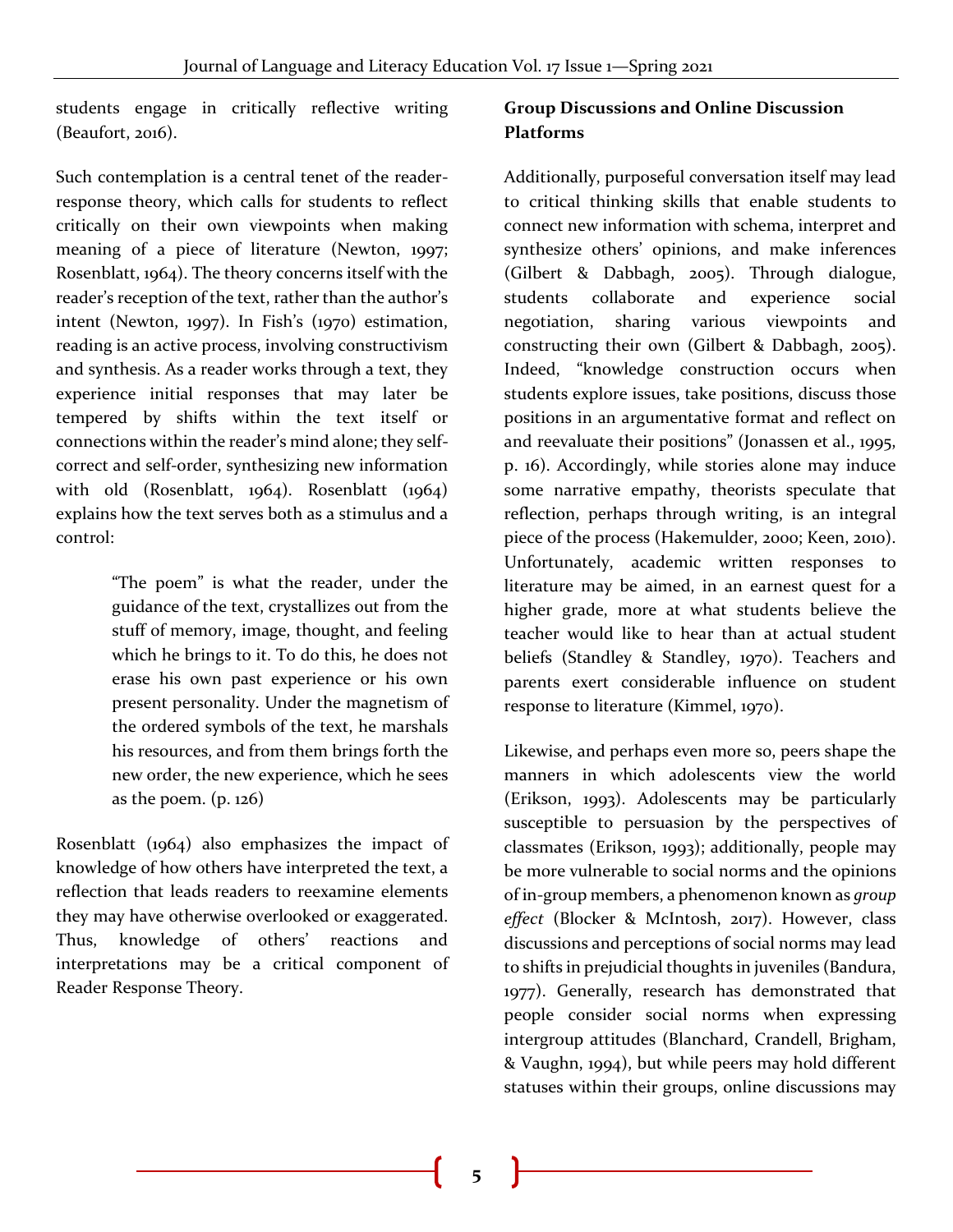students engage in critically reflective writing (Beaufort, 2016).

Such contemplation is a central tenet of the readerresponse theory, which calls for students to reflect critically on their own viewpoints when making meaning of a piece of literature (Newton, 1997; Rosenblatt, 1964). The theory concerns itself with the reader's reception of the text, rather than the author's intent (Newton, 1997). In Fish's (1970) estimation, reading is an active process, involving constructivism and synthesis. As a reader works through a text, they experience initial responses that may later be tempered by shifts within the text itself or connections within the reader's mind alone; they selfcorrect and self-order, synthesizing new information with old (Rosenblatt, 1964). Rosenblatt (1964) explains how the text serves both as a stimulus and a control:

> "The poem" is what the reader, under the guidance of the text, crystallizes out from the stuff of memory, image, thought, and feeling which he brings to it. To do this, he does not erase his own past experience or his own present personality. Under the magnetism of the ordered symbols of the text, he marshals his resources, and from them brings forth the new order, the new experience, which he sees as the poem. (p. 126)

Rosenblatt (1964) also emphasizes the impact of knowledge of how others have interpreted the text, a reflection that leads readers to reexamine elements they may have otherwise overlooked or exaggerated. Thus, knowledge of others' reactions and interpretations may be a critical component of Reader Response Theory.

# **Group Discussions and Online Discussion Platforms**

Additionally, purposeful conversation itself may lead to critical thinking skills that enable students to connect new information with schema, interpret and synthesize others' opinions, and make inferences (Gilbert & Dabbagh, 2005). Through dialogue, students collaborate and experience social negotiation, sharing various viewpoints and constructing their own (Gilbert & Dabbagh, 2005). Indeed, "knowledge construction occurs when students explore issues, take positions, discuss those positions in an argumentative format and reflect on and reevaluate their positions" (Jonassen et al., 1995, p. 16). Accordingly, while stories alone may induce some narrative empathy, theorists speculate that reflection, perhaps through writing, is an integral piece of the process (Hakemulder, 2000; Keen, 2010). Unfortunately, academic written responses to literature may be aimed, in an earnest quest for a higher grade, more at what students believe the teacher would like to hear than at actual student beliefs (Standley & Standley, 1970). Teachers and parents exert considerable influence on student response to literature (Kimmel, 1970).

Likewise, and perhaps even more so, peers shape the manners in which adolescents view the world (Erikson, 1993). Adolescents may be particularly susceptible to persuasion by the perspectives of classmates (Erikson, 1993); additionally, people may be more vulnerable to social norms and the opinions of in-group members, a phenomenon known as *group effect* (Blocker & McIntosh, 2017). However, class discussions and perceptions of social norms may lead to shifts in prejudicial thoughts in juveniles (Bandura, 1977). Generally, research has demonstrated that people consider social norms when expressing intergroup attitudes (Blanchard, Crandell, Brigham, & Vaughn, 1994), but while peers may hold different statuses within their groups, online discussions may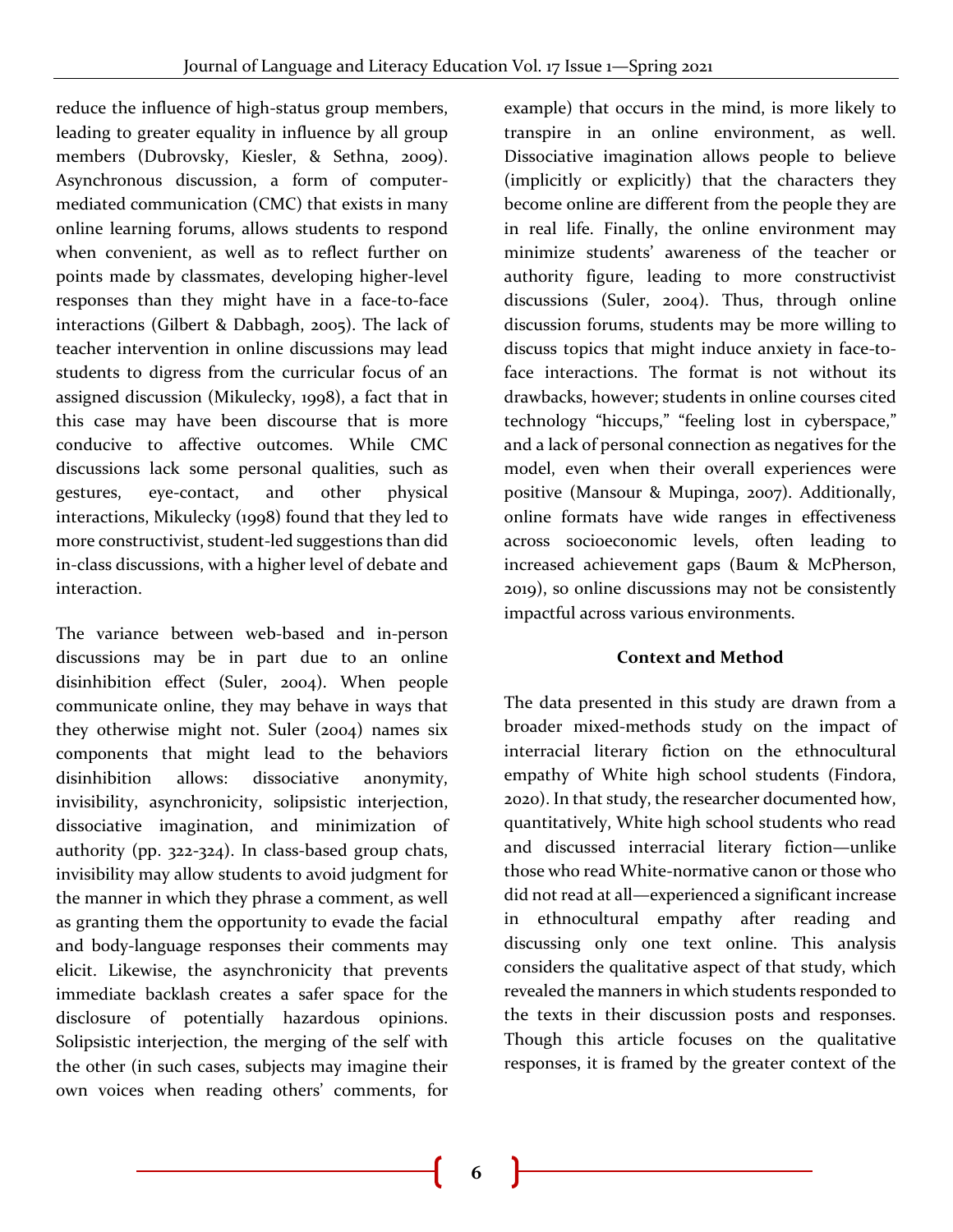reduce the influence of high-status group members, leading to greater equality in influence by all group members (Dubrovsky, Kiesler, & Sethna, 2009). Asynchronous discussion, a form of computermediated communication (CMC) that exists in many online learning forums, allows students to respond when convenient, as well as to reflect further on points made by classmates, developing higher-level responses than they might have in a face-to-face interactions (Gilbert & Dabbagh, 2005). The lack of teacher intervention in online discussions may lead students to digress from the curricular focus of an assigned discussion (Mikulecky, 1998), a fact that in this case may have been discourse that is more conducive to affective outcomes. While CMC discussions lack some personal qualities, such as gestures, eye-contact, and other physical interactions, Mikulecky (1998) found that they led to more constructivist, student-led suggestions than did in-class discussions, with a higher level of debate and interaction.

The variance between web-based and in-person discussions may be in part due to an online disinhibition effect (Suler, 2004). When people communicate online, they may behave in ways that they otherwise might not. Suler (2004) names six components that might lead to the behaviors disinhibition allows: dissociative anonymity, invisibility, asynchronicity, solipsistic interjection, dissociative imagination, and minimization of authority (pp. 322-324). In class-based group chats, invisibility may allow students to avoid judgment for the manner in which they phrase a comment, as well as granting them the opportunity to evade the facial and body-language responses their comments may elicit. Likewise, the asynchronicity that prevents immediate backlash creates a safer space for the disclosure of potentially hazardous opinions. Solipsistic interjection, the merging of the self with the other (in such cases, subjects may imagine their own voices when reading others' comments, for

example) that occurs in the mind, is more likely to transpire in an online environment, as well. Dissociative imagination allows people to believe (implicitly or explicitly) that the characters they become online are different from the people they are in real life. Finally, the online environment may minimize students' awareness of the teacher or authority figure, leading to more constructivist discussions (Suler, 2004). Thus, through online discussion forums, students may be more willing to discuss topics that might induce anxiety in face-toface interactions. The format is not without its drawbacks, however; students in online courses cited technology "hiccups," "feeling lost in cyberspace," and a lack of personal connection as negatives for the model, even when their overall experiences were positive (Mansour & Mupinga, 2007). Additionally, online formats have wide ranges in effectiveness across socioeconomic levels, often leading to increased achievement gaps (Baum & McPherson, 2019), so online discussions may not be consistently impactful across various environments.

# **Context and Method**

The data presented in this study are drawn from a broader mixed-methods study on the impact of interracial literary fiction on the ethnocultural empathy of White high school students (Findora, 2020). In that study, the researcher documented how, quantitatively, White high school students who read and discussed interracial literary fiction—unlike those who read White-normative canon or those who did not read at all—experienced a significant increase in ethnocultural empathy after reading and discussing only one text online. This analysis considers the qualitative aspect of that study, which revealed the manners in which students responded to the texts in their discussion posts and responses. Though this article focuses on the qualitative responses, it is framed by the greater context of the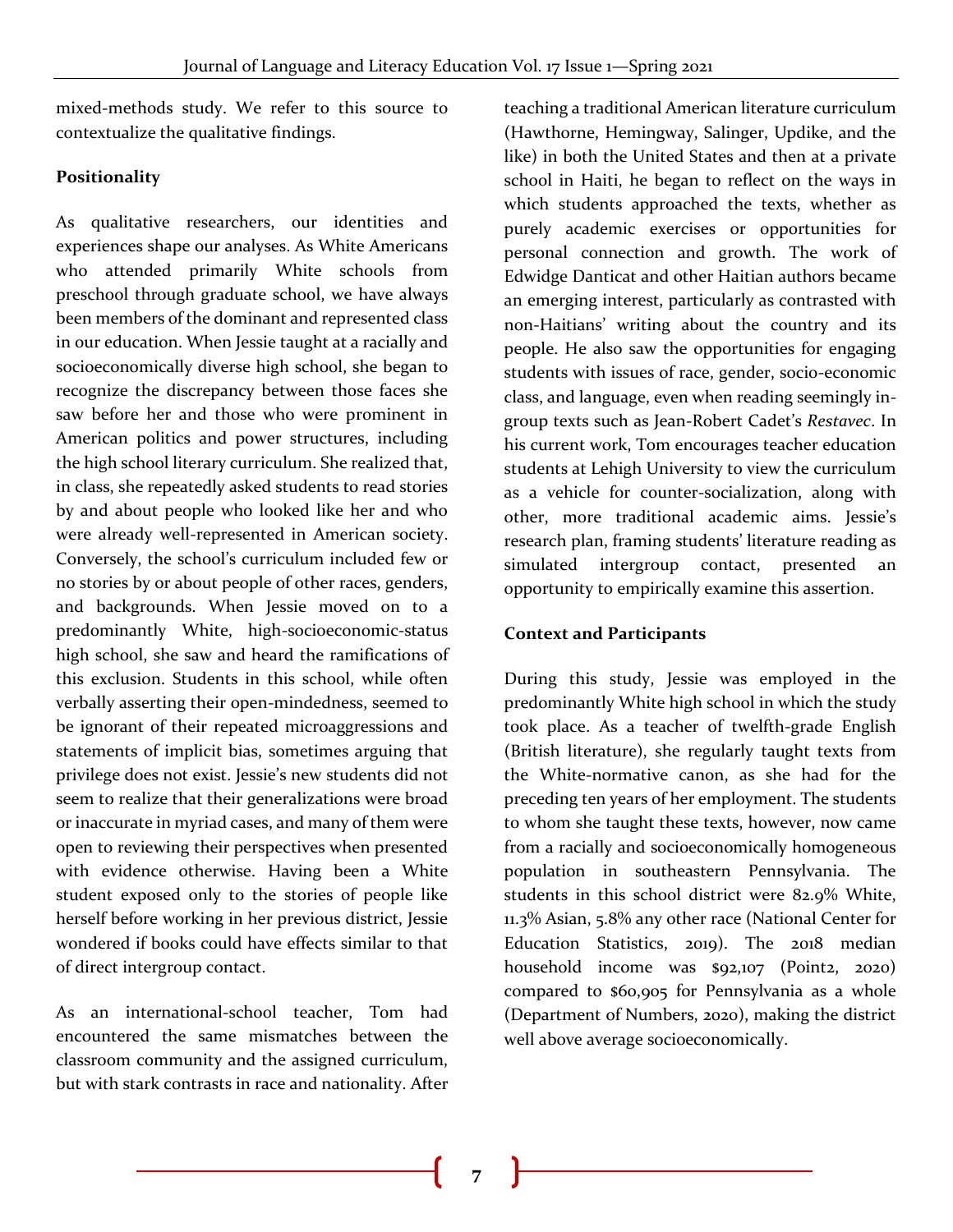mixed-methods study. We refer to this source to contextualize the qualitative findings.

#### **Positionality**

As qualitative researchers, our identities and experiences shape our analyses. As White Americans who attended primarily White schools from preschool through graduate school, we have always been members of the dominant and represented class in our education. When Jessie taught at a racially and socioeconomically diverse high school, she began to recognize the discrepancy between those faces she saw before her and those who were prominent in American politics and power structures, including the high school literary curriculum. She realized that, in class, she repeatedly asked students to read stories by and about people who looked like her and who were already well-represented in American society. Conversely, the school's curriculum included few or no stories by or about people of other races, genders, and backgrounds. When Jessie moved on to a predominantly White, high-socioeconomic-status high school, she saw and heard the ramifications of this exclusion. Students in this school, while often verbally asserting their open-mindedness, seemed to be ignorant of their repeated microaggressions and statements of implicit bias, sometimes arguing that privilege does not exist. Jessie's new students did not seem to realize that their generalizations were broad or inaccurate in myriad cases, and many of them were open to reviewing their perspectives when presented with evidence otherwise. Having been a White student exposed only to the stories of people like herself before working in her previous district, Jessie wondered if books could have effects similar to that of direct intergroup contact.

As an international-school teacher, Tom had encountered the same mismatches between the classroom community and the assigned curriculum, but with stark contrasts in race and nationality. After

teaching a traditional American literature curriculum (Hawthorne, Hemingway, Salinger, Updike, and the like) in both the United States and then at a private school in Haiti, he began to reflect on the ways in which students approached the texts, whether as purely academic exercises or opportunities for personal connection and growth. The work of Edwidge Danticat and other Haitian authors became an emerging interest, particularly as contrasted with non-Haitians' writing about the country and its people. He also saw the opportunities for engaging students with issues of race, gender, socio-economic class, and language, even when reading seemingly ingroup texts such as Jean-Robert Cadet's *Restavec*. In his current work, Tom encourages teacher education students at Lehigh University to view the curriculum as a vehicle for counter-socialization, along with other, more traditional academic aims. Jessie's research plan, framing students' literature reading as simulated intergroup contact, presented an opportunity to empirically examine this assertion.

#### **Context and Participants**

During this study, Jessie was employed in the predominantly White high school in which the study took place. As a teacher of twelfth-grade English (British literature), she regularly taught texts from the White-normative canon, as she had for the preceding ten years of her employment. The students to whom she taught these texts, however, now came from a racially and socioeconomically homogeneous population in southeastern Pennsylvania. The students in this school district were 82.9% White, 11.3% Asian, 5.8% any other race (National Center for Education Statistics, 2019). The 2018 median household income was \$92,107 (Point2, 2020) compared to \$60,905 for Pennsylvania as a whole (Department of Numbers, 2020), making the district well above average socioeconomically.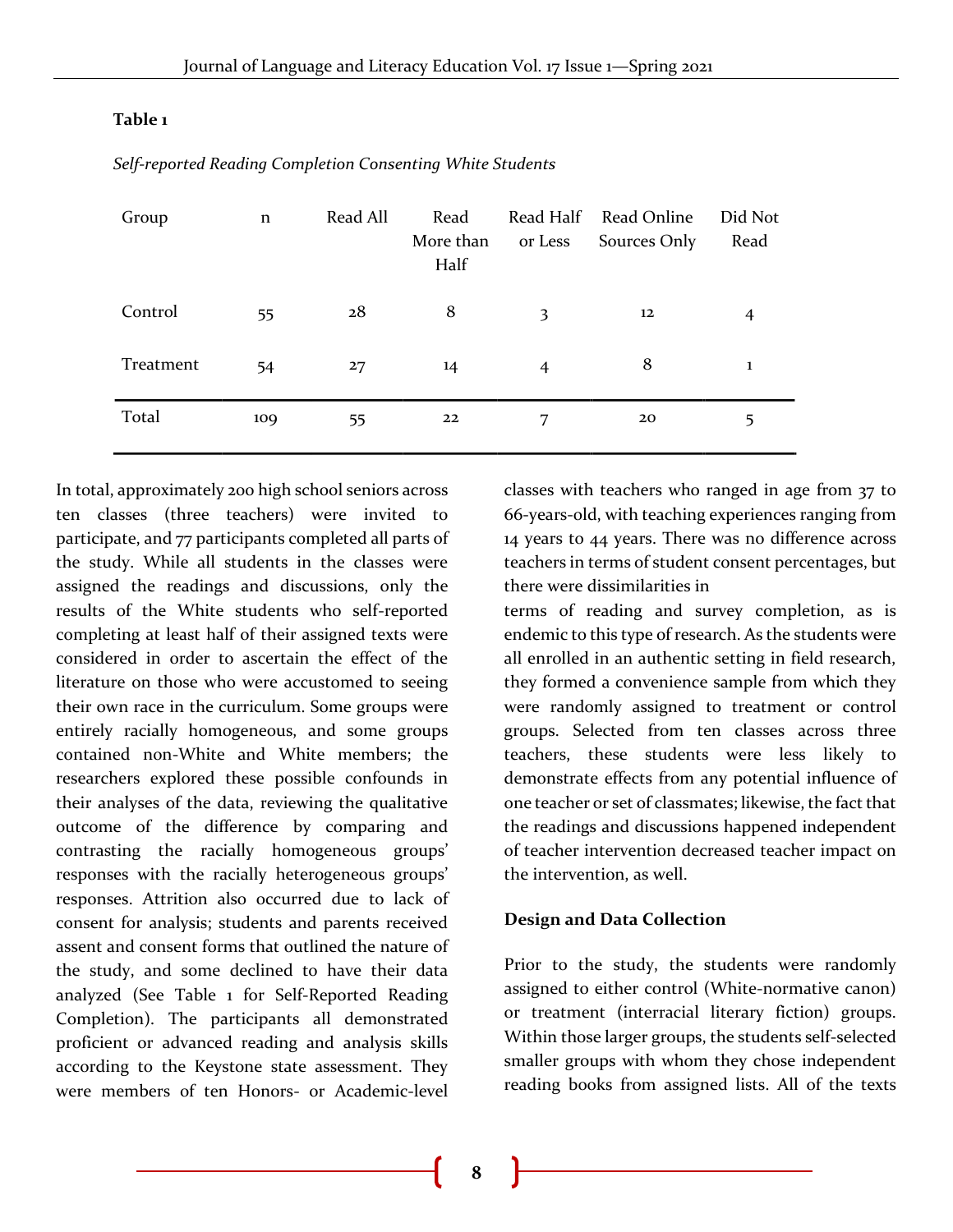#### **Table 1**

| Group     | $\mathbf n$ | Read All | Read<br>More than<br>Half | Read Half<br>or Less | Read Online<br>Sources Only | Did Not<br>Read |
|-----------|-------------|----------|---------------------------|----------------------|-----------------------------|-----------------|
| Control   | 55          | 28       | 8                         | 3                    | 12                          | $\overline{4}$  |
| Treatment | 54          | 27       | 14                        | $\overline{4}$       | 8                           | 1               |
| Total     | 109         | 55       | 22                        | 7                    | 20                          | 5               |

*Self-reported Reading Completion Consenting White Students*

In total, approximately 200 high school seniors across ten classes (three teachers) were invited to participate, and 77 participants completed all parts of the study. While all students in the classes were assigned the readings and discussions, only the results of the White students who self-reported completing at least half of their assigned texts were considered in order to ascertain the effect of the literature on those who were accustomed to seeing their own race in the curriculum. Some groups were entirely racially homogeneous, and some groups contained non-White and White members; the researchers explored these possible confounds in their analyses of the data, reviewing the qualitative outcome of the difference by comparing and contrasting the racially homogeneous groups' responses with the racially heterogeneous groups' responses. Attrition also occurred due to lack of consent for analysis; students and parents received assent and consent forms that outlined the nature of the study, and some declined to have their data analyzed (See Table 1 for Self-Reported Reading Completion). The participants all demonstrated proficient or advanced reading and analysis skills according to the Keystone state assessment. They were members of ten Honors- or Academic-level

classes with teachers who ranged in age from 37 to 66-years-old, with teaching experiences ranging from 14 years to 44 years. There was no difference across teachers in terms of student consent percentages, but there were dissimilarities in

terms of reading and survey completion, as is endemic to this type of research. As the students were all enrolled in an authentic setting in field research, they formed a convenience sample from which they were randomly assigned to treatment or control groups. Selected from ten classes across three teachers, these students were less likely to demonstrate effects from any potential influence of one teacher or set of classmates; likewise, the fact that the readings and discussions happened independent of teacher intervention decreased teacher impact on the intervention, as well.

#### **Design and Data Collection**

Prior to the study, the students were randomly assigned to either control (White-normative canon) or treatment (interracial literary fiction) groups. Within those larger groups, the students self-selected smaller groups with whom they chose independent reading books from assigned lists. All of the texts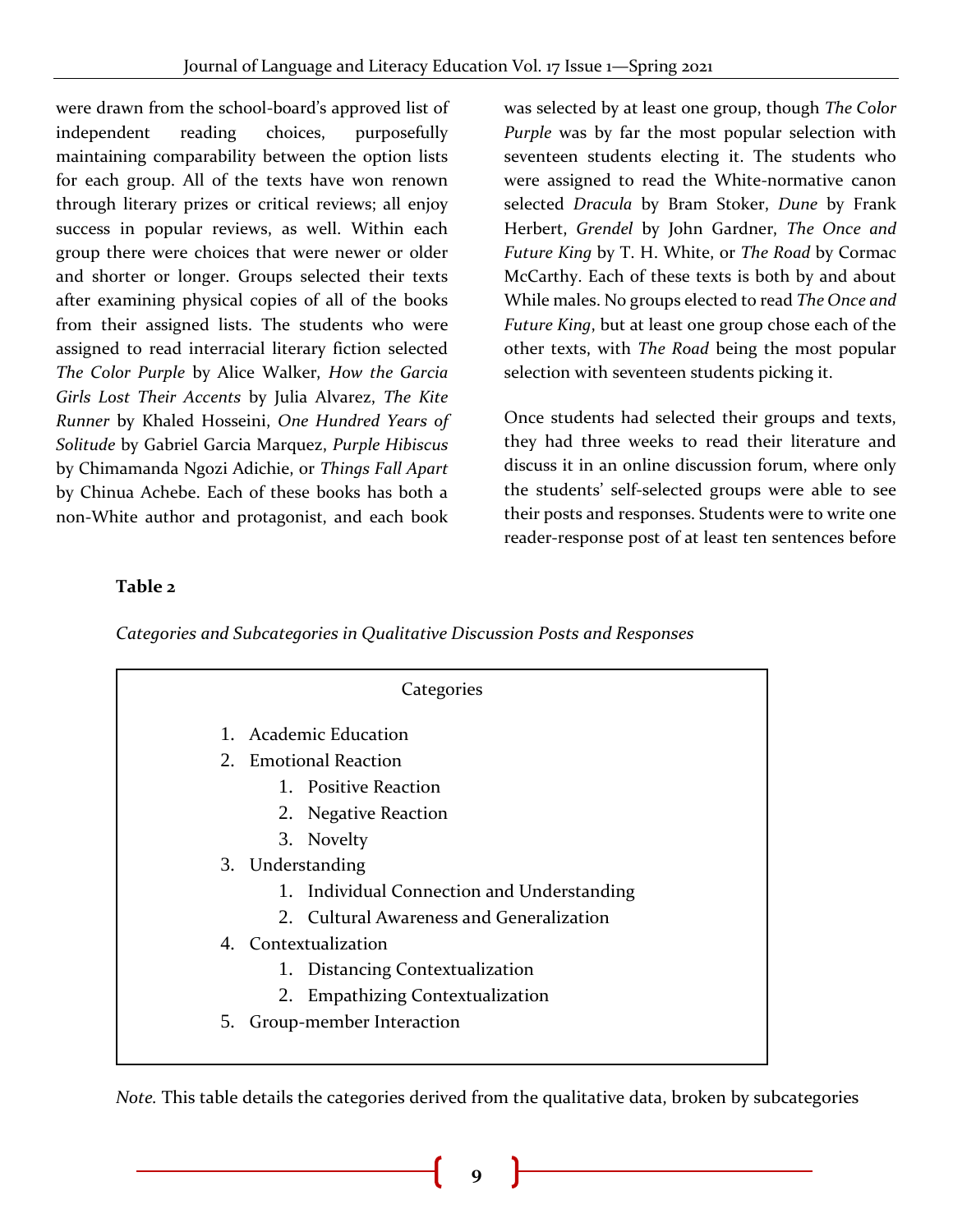were drawn from the school-board's approved list of independent reading choices, purposefully maintaining comparability between the option lists for each group. All of the texts have won renown through literary prizes or critical reviews; all enjoy success in popular reviews, as well. Within each group there were choices that were newer or older and shorter or longer. Groups selected their texts after examining physical copies of all of the books from their assigned lists. The students who were assigned to read interracial literary fiction selected *The Color Purple* by Alice Walker, *How the Garcia Girls Lost Their Accents* by Julia Alvarez, *The Kite Runner* by Khaled Hosseini, *One Hundred Years of Solitude* by Gabriel Garcia Marquez, *Purple Hibiscus* by Chimamanda Ngozi Adichie, or *Things Fall Apart* by Chinua Achebe. Each of these books has both a non-White author and protagonist, and each book

was selected by at least one group, though *The Color Purple* was by far the most popular selection with seventeen students electing it. The students who were assigned to read the White-normative canon selected *Dracula* by Bram Stoker, *Dune* by Frank Herbert, *Grendel* by John Gardner, *The Once and Future King* by T. H. White, or *The Road* by Cormac McCarthy. Each of these texts is both by and about While males. No groups elected to read *The Once and Future King*, but at least one group chose each of the other texts, with *The Road* being the most popular selection with seventeen students picking it.

Once students had selected their groups and texts, they had three weeks to read their literature and discuss it in an online discussion forum, where only the students' self-selected groups were able to see their posts and responses. Students were to write one reader-response post of at least ten sentences before

# **Table 2**

*Categories and Subcategories in Qualitative Discussion Posts and Responses*

| Categories |                                            |  |  |  |  |
|------------|--------------------------------------------|--|--|--|--|
|            | 1. Academic Education                      |  |  |  |  |
|            | 2. Emotional Reaction                      |  |  |  |  |
|            | 1. Positive Reaction                       |  |  |  |  |
|            | 2. Negative Reaction                       |  |  |  |  |
|            | 3. Novelty                                 |  |  |  |  |
|            | 3. Understanding                           |  |  |  |  |
|            | 1. Individual Connection and Understanding |  |  |  |  |
|            | 2. Cultural Awareness and Generalization   |  |  |  |  |
|            | 4. Contextualization                       |  |  |  |  |
|            | 1. Distancing Contextualization            |  |  |  |  |
|            | <b>Empathizing Contextualization</b><br>2. |  |  |  |  |
|            | 5. Group-member Interaction                |  |  |  |  |

*Note.* This table details the categories derived from the qualitative data, broken by subcategories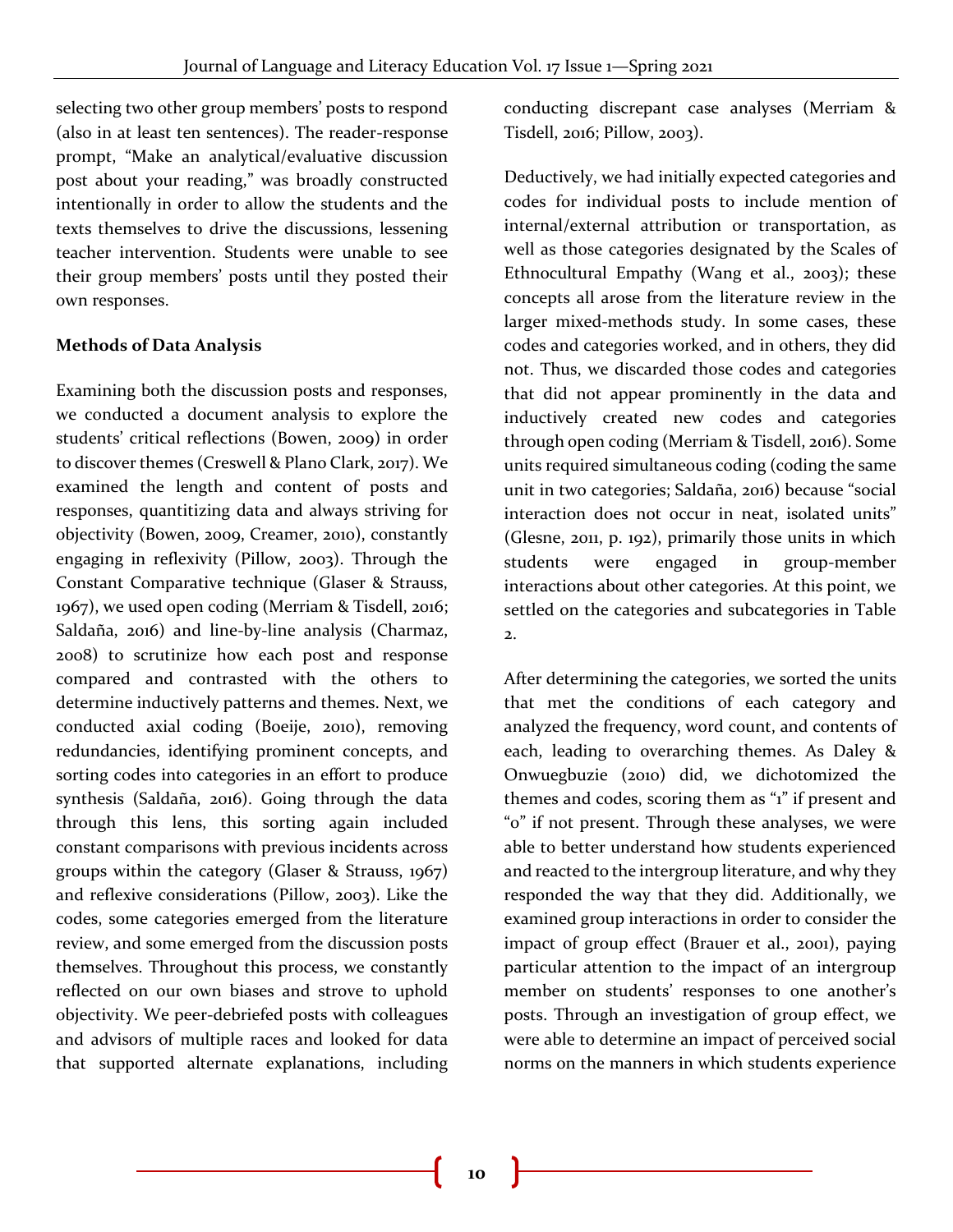selecting two other group members' posts to respond (also in at least ten sentences). The reader-response prompt, "Make an analytical/evaluative discussion post about your reading," was broadly constructed intentionally in order to allow the students and the texts themselves to drive the discussions, lessening teacher intervention. Students were unable to see their group members' posts until they posted their own responses.

## **Methods of Data Analysis**

Examining both the discussion posts and responses, we conducted a document analysis to explore the students' critical reflections (Bowen, 2009) in order to discover themes (Creswell & Plano Clark, 2017). We examined the length and content of posts and responses, quantitizing data and always striving for objectivity (Bowen, 2009, Creamer, 2010), constantly engaging in reflexivity (Pillow, 2003). Through the Constant Comparative technique (Glaser & Strauss, 1967), we used open coding (Merriam & Tisdell, 2016; Saldaña, 2016) and line-by-line analysis (Charmaz, 2008) to scrutinize how each post and response compared and contrasted with the others to determine inductively patterns and themes. Next, we conducted axial coding (Boeije, 2010), removing redundancies, identifying prominent concepts, and sorting codes into categories in an effort to produce synthesis (Saldaña, 2016). Going through the data through this lens, this sorting again included constant comparisons with previous incidents across groups within the category (Glaser & Strauss, 1967) and reflexive considerations (Pillow, 2003). Like the codes, some categories emerged from the literature review, and some emerged from the discussion posts themselves. Throughout this process, we constantly reflected on our own biases and strove to uphold objectivity. We peer-debriefed posts with colleagues and advisors of multiple races and looked for data that supported alternate explanations, including

conducting discrepant case analyses (Merriam & Tisdell, 2016; Pillow, 2003).

Deductively, we had initially expected categories and codes for individual posts to include mention of internal/external attribution or transportation, as well as those categories designated by the Scales of Ethnocultural Empathy (Wang et al., 2003); these concepts all arose from the literature review in the larger mixed-methods study. In some cases, these codes and categories worked, and in others, they did not. Thus, we discarded those codes and categories that did not appear prominently in the data and inductively created new codes and categories through open coding (Merriam & Tisdell, 2016). Some units required simultaneous coding (coding the same unit in two categories; Saldaña, 2016) because "social interaction does not occur in neat, isolated units" (Glesne, 2011, p. 192), primarily those units in which students were engaged in group-member interactions about other categories. At this point, we settled on the categories and subcategories in Table  $\overline{2}$ .

After determining the categories, we sorted the units that met the conditions of each category and analyzed the frequency, word count, and contents of each, leading to overarching themes. As Daley & Onwuegbuzie (2010) did, we dichotomized the themes and codes, scoring them as "1" if present and "0" if not present. Through these analyses, we were able to better understand how students experienced and reacted to the intergroup literature, and why they responded the way that they did. Additionally, we examined group interactions in order to consider the impact of group effect (Brauer et al., 2001), paying particular attention to the impact of an intergroup member on students' responses to one another's posts. Through an investigation of group effect, we were able to determine an impact of perceived social norms on the manners in which students experience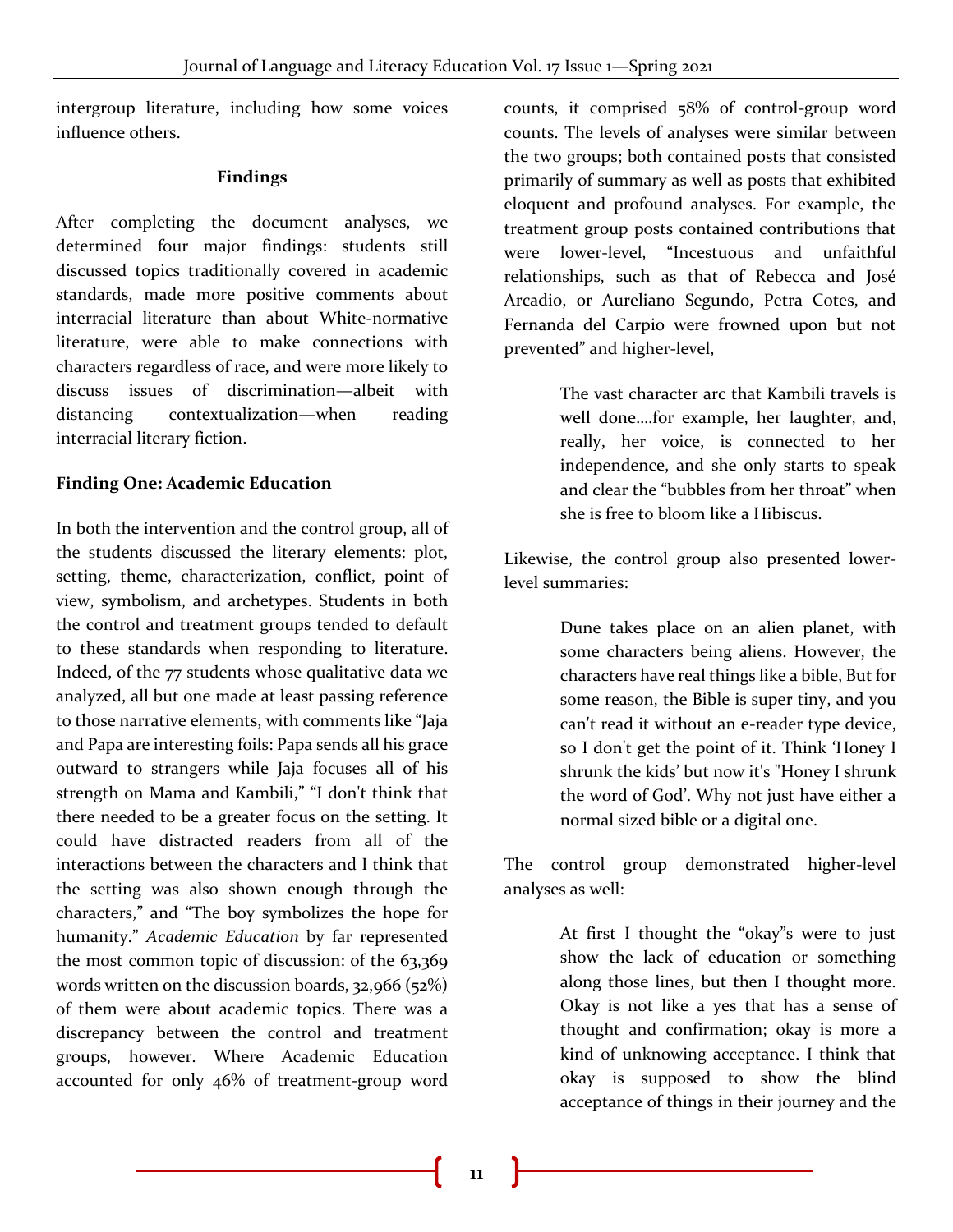intergroup literature, including how some voices influence others.

#### **Findings**

After completing the document analyses, we determined four major findings: students still discussed topics traditionally covered in academic standards, made more positive comments about interracial literature than about White-normative literature, were able to make connections with characters regardless of race, and were more likely to discuss issues of discrimination—albeit with distancing contextualization—when reading interracial literary fiction.

# **Finding One: Academic Education**

In both the intervention and the control group, all of the students discussed the literary elements: plot, setting, theme, characterization, conflict, point of view, symbolism, and archetypes. Students in both the control and treatment groups tended to default to these standards when responding to literature. Indeed, of the 77 students whose qualitative data we analyzed, all but one made at least passing reference to those narrative elements, with comments like "Jaja and Papa are interesting foils: Papa sends all his grace outward to strangers while Jaja focuses all of his strength on Mama and Kambili," "I don't think that there needed to be a greater focus on the setting. It could have distracted readers from all of the interactions between the characters and I think that the setting was also shown enough through the characters," and "The boy symbolizes the hope for humanity." *Academic Education* by far represented the most common topic of discussion: of the 63,369 words written on the discussion boards, 32,966 (52%) of them were about academic topics. There was a discrepancy between the control and treatment groups, however. Where Academic Education accounted for only 46% of treatment-group word

counts, it comprised 58% of control-group word counts. The levels of analyses were similar between the two groups; both contained posts that consisted primarily of summary as well as posts that exhibited eloquent and profound analyses. For example, the treatment group posts contained contributions that were lower-level, "Incestuous and unfaithful relationships, such as that of Rebecca and José Arcadio, or Aureliano Segundo, Petra Cotes, and Fernanda del Carpio were frowned upon but not prevented" and higher-level,

> The vast character arc that Kambili travels is well done….for example, her laughter, and, really, her voice, is connected to her independence, and she only starts to speak and clear the "bubbles from her throat" when she is free to bloom like a Hibiscus.

Likewise, the control group also presented lowerlevel summaries:

> Dune takes place on an alien planet, with some characters being aliens. However, the characters have real things like a bible, But for some reason, the Bible is super tiny, and you can't read it without an e-reader type device, so I don't get the point of it. Think 'Honey I shrunk the kids' but now it's "Honey I shrunk the word of God'. Why not just have either a normal sized bible or a digital one.

The control group demonstrated higher-level analyses as well:

> At first I thought the "okay"s were to just show the lack of education or something along those lines, but then I thought more. Okay is not like a yes that has a sense of thought and confirmation; okay is more a kind of unknowing acceptance. I think that okay is supposed to show the blind acceptance of things in their journey and the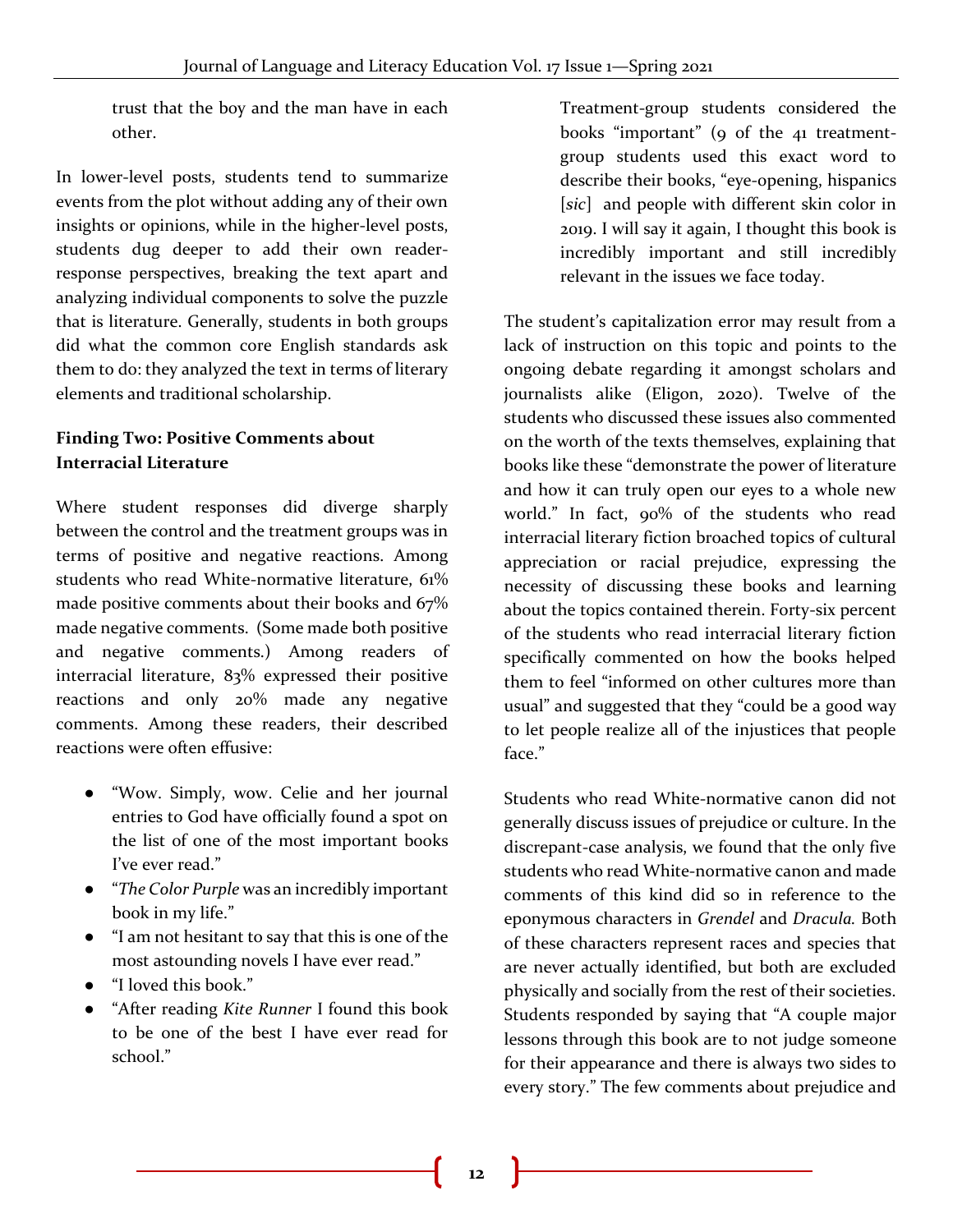trust that the boy and the man have in each other.

In lower-level posts, students tend to summarize events from the plot without adding any of their own insights or opinions, while in the higher-level posts, students dug deeper to add their own readerresponse perspectives, breaking the text apart and analyzing individual components to solve the puzzle that is literature. Generally, students in both groups did what the common core English standards ask them to do: they analyzed the text in terms of literary elements and traditional scholarship.

# **Finding Two: Positive Comments about Interracial Literature**

Where student responses did diverge sharply between the control and the treatment groups was in terms of positive and negative reactions. Among students who read White-normative literature, 61% made positive comments about their books and 67% made negative comments. (Some made both positive and negative comments.) Among readers of interracial literature, 83% expressed their positive reactions and only 20% made any negative comments. Among these readers, their described reactions were often effusive:

- "Wow. Simply, wow. Celie and her journal entries to God have officially found a spot on the list of one of the most important books I've ever read."
- "*The Color Purple* was an incredibly important book in my life."
- "I am not hesitant to say that this is one of the most astounding novels I have ever read."
- "I loved this book."
- "After reading *Kite Runner* I found this book to be one of the best I have ever read for school."

Treatment-group students considered the books "important" (9 of the 41 treatmentgroup students used this exact word to describe their books, "eye-opening, hispanics [*sic*] and people with different skin color in 2019. I will say it again, I thought this book is incredibly important and still incredibly relevant in the issues we face today.

The student's capitalization error may result from a lack of instruction on this topic and points to the ongoing debate regarding it amongst scholars and journalists alike (Eligon, 2020). Twelve of the students who discussed these issues also commented on the worth of the texts themselves, explaining that books like these "demonstrate the power of literature and how it can truly open our eyes to a whole new world." In fact, 90% of the students who read interracial literary fiction broached topics of cultural appreciation or racial prejudice, expressing the necessity of discussing these books and learning about the topics contained therein. Forty-six percent of the students who read interracial literary fiction specifically commented on how the books helped them to feel "informed on other cultures more than usual" and suggested that they "could be a good way to let people realize all of the injustices that people face."

Students who read White-normative canon did not generally discuss issues of prejudice or culture. In the discrepant-case analysis, we found that the only five students who read White-normative canon and made comments of this kind did so in reference to the eponymous characters in *Grendel* and *Dracula.* Both of these characters represent races and species that are never actually identified, but both are excluded physically and socially from the rest of their societies. Students responded by saying that "A couple major lessons through this book are to not judge someone for their appearance and there is always two sides to every story." The few comments about prejudice and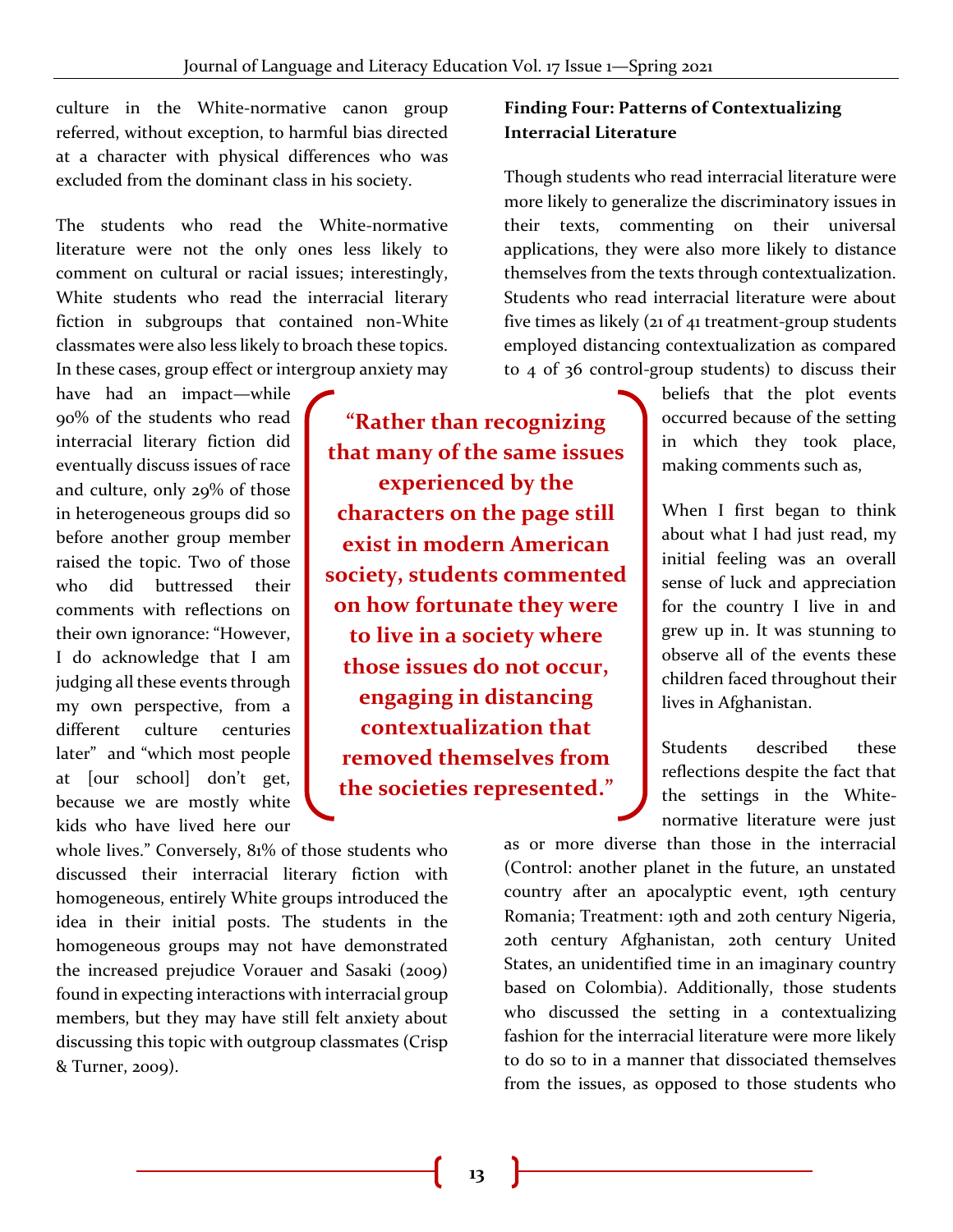culture in the White-normative canon group referred, without exception, to harmful bias directed at a character with physical differences who was excluded from the dominant class in his society.

The students who read the White-normative literature were not the only ones less likely to comment on cultural or racial issues; interestingly, White students who read the interracial literary fiction in subgroups that contained non-White classmates were also less likely to broach these topics. In these cases, group effect or intergroup anxiety may

have had an impact—while 90% of the students who read interracial literary fiction did eventually discuss issues of race and culture, only 29% of those in heterogeneous groups did so before another group member raised the topic. Two of those who did buttressed their comments with reflections on their own ignorance: "However, I do acknowledge that I am judging all these events through my own perspective, from a different culture centuries later" and "which most people at [our school] don't get, because we are mostly white kids who have lived here our

**"Rather than recognizing that many of the same issues experienced by the characters on the page still exist in modern American society, students commented on how fortunate they were to live in a society where those issues do not occur, engaging in distancing contextualization that removed themselves from the societies represented."** 

whole lives." Conversely, 81% of those students who discussed their interracial literary fiction with homogeneous, entirely White groups introduced the idea in their initial posts. The students in the homogeneous groups may not have demonstrated the increased prejudice Vorauer and Sasaki (2009) found in expecting interactions with interracial group members, but they may have still felt anxiety about discussing this topic with outgroup classmates (Crisp & Turner, 2009).

# **Finding Four: Patterns of Contextualizing Interracial Literature**

Though students who read interracial literature were more likely to generalize the discriminatory issues in their texts, commenting on their universal applications, they were also more likely to distance themselves from the texts through contextualization. Students who read interracial literature were about five times as likely (21 of 41 treatment-group students employed distancing contextualization as compared to 4 of 36 control-group students) to discuss their

> beliefs that the plot events occurred because of the setting in which they took place, making comments such as,

> When I first began to think about what I had just read, my initial feeling was an overall sense of luck and appreciation for the country I live in and grew up in. It was stunning to observe all of the events these children faced throughout their lives in Afghanistan.

> Students described these reflections despite the fact that the settings in the Whitenormative literature were just

as or more diverse than those in the interracial (Control: another planet in the future, an unstated country after an apocalyptic event, 19th century Romania; Treatment: 19th and 20th century Nigeria, 20th century Afghanistan, 20th century United States, an unidentified time in an imaginary country based on Colombia). Additionally, those students who discussed the setting in a contextualizing fashion for the interracial literature were more likely to do so to in a manner that dissociated themselves from the issues, as opposed to those students who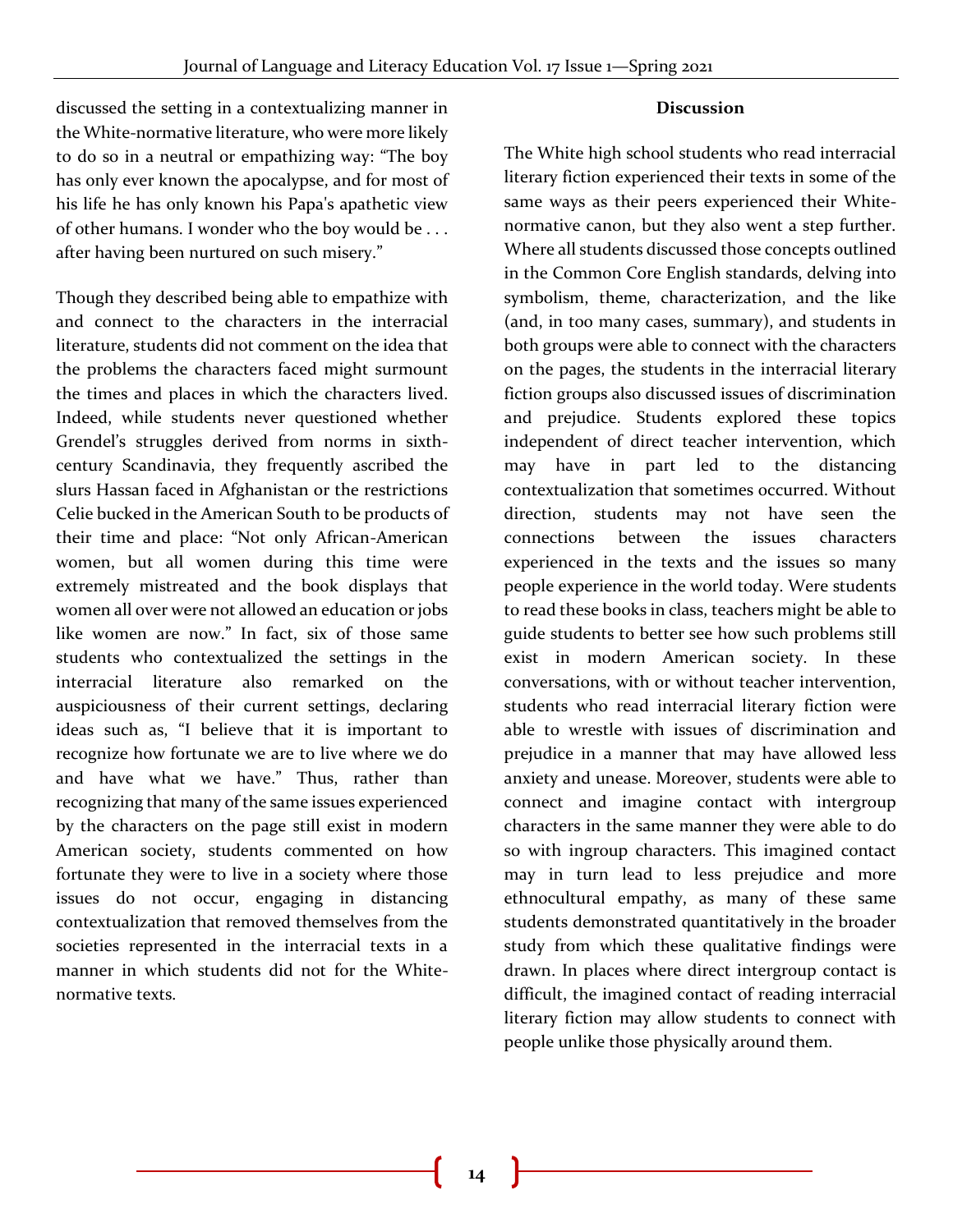#### **Discussion**

discussed the setting in a contextualizing manner in the White-normative literature, who were more likely to do so in a neutral or empathizing way: "The boy has only ever known the apocalypse, and for most of his life he has only known his Papa's apathetic view of other humans. I wonder who the boy would be . . . after having been nurtured on such misery."

Though they described being able to empathize with and connect to the characters in the interracial literature, students did not comment on the idea that the problems the characters faced might surmount the times and places in which the characters lived. Indeed, while students never questioned whether Grendel's struggles derived from norms in sixthcentury Scandinavia, they frequently ascribed the slurs Hassan faced in Afghanistan or the restrictions Celie bucked in the American South to be products of their time and place: "Not only African-American women, but all women during this time were extremely mistreated and the book displays that women all over were not allowed an education or jobs like women are now." In fact, six of those same students who contextualized the settings in the interracial literature also remarked on the auspiciousness of their current settings, declaring ideas such as, "I believe that it is important to recognize how fortunate we are to live where we do and have what we have." Thus, rather than recognizing that many of the same issues experienced by the characters on the page still exist in modern American society, students commented on how fortunate they were to live in a society where those issues do not occur, engaging in distancing contextualization that removed themselves from the societies represented in the interracial texts in a manner in which students did not for the Whitenormative texts.

The White high school students who read interracial literary fiction experienced their texts in some of the same ways as their peers experienced their Whitenormative canon, but they also went a step further. Where all students discussed those concepts outlined in the Common Core English standards, delving into symbolism, theme, characterization, and the like (and, in too many cases, summary), and students in both groups were able to connect with the characters on the pages, the students in the interracial literary fiction groups also discussed issues of discrimination and prejudice. Students explored these topics independent of direct teacher intervention, which may have in part led to the distancing contextualization that sometimes occurred. Without direction, students may not have seen the connections between the issues characters experienced in the texts and the issues so many people experience in the world today. Were students to read these books in class, teachers might be able to guide students to better see how such problems still exist in modern American society. In these conversations, with or without teacher intervention, students who read interracial literary fiction were able to wrestle with issues of discrimination and prejudice in a manner that may have allowed less anxiety and unease. Moreover, students were able to connect and imagine contact with intergroup characters in the same manner they were able to do so with ingroup characters. This imagined contact may in turn lead to less prejudice and more ethnocultural empathy, as many of these same students demonstrated quantitatively in the broader study from which these qualitative findings were drawn. In places where direct intergroup contact is difficult, the imagined contact of reading interracial literary fiction may allow students to connect with people unlike those physically around them.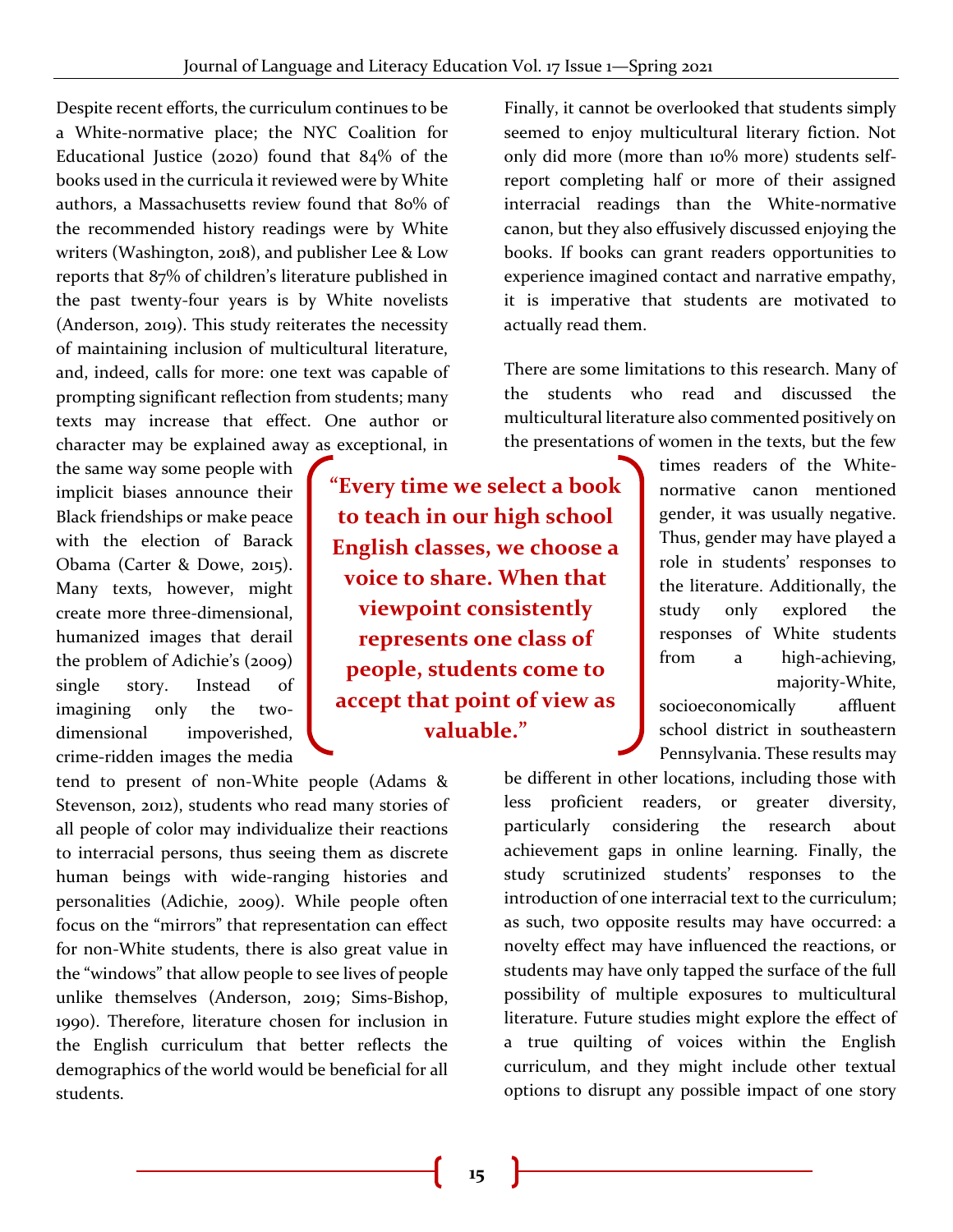Despite recent efforts, the curriculum continues to be a White-normative place; the NYC Coalition for Educational Justice (2020) found that 84% of the books used in the curricula it reviewed were by White authors, a Massachusetts review found that 80% of the recommended history readings were by White writers (Washington, 2018), and publisher Lee & Low reports that 87% of children's literature published in the past twenty-four years is by White novelists (Anderson, 2019). This study reiterates the necessity of maintaining inclusion of multicultural literature, and, indeed, calls for more: one text was capable of prompting significant reflection from students; many texts may increase that effect. One author or character may be explained away as exceptional, in

the same way some people with implicit biases announce their Black friendships or make peace with the election of Barack Obama (Carter & Dowe, 2015). Many texts, however, might create more three-dimensional, humanized images that derail the problem of Adichie's (2009) single story. Instead of imagining only the twodimensional impoverished, crime-ridden images the media

tend to present of non-White people (Adams & Stevenson, 2012), students who read many stories of all people of color may individualize their reactions to interracial persons, thus seeing them as discrete human beings with wide-ranging histories and personalities (Adichie, 2009). While people often focus on the "mirrors" that representation can effect for non-White students, there is also great value in the "windows" that allow people to see lives of people unlike themselves (Anderson, 2019; Sims-Bishop, 1990). Therefore, literature chosen for inclusion in the English curriculum that better reflects the demographics of the world would be beneficial for all students.

**"Every time we select a book to teach in our high school English classes, we choose a voice to share. When that viewpoint consistently represents one class of people, students come to accept that point of view as valuable."** 

Finally, it cannot be overlooked that students simply seemed to enjoy multicultural literary fiction. Not only did more (more than 10% more) students selfreport completing half or more of their assigned interracial readings than the White-normative canon, but they also effusively discussed enjoying the books. If books can grant readers opportunities to experience imagined contact and narrative empathy, it is imperative that students are motivated to actually read them.

There are some limitations to this research. Many of the students who read and discussed the multicultural literature also commented positively on the presentations of women in the texts, but the few

> times readers of the Whitenormative canon mentioned gender, it was usually negative. Thus, gender may have played a role in students' responses to the literature. Additionally, the study only explored the responses of White students from a high-achieving, majority-White,

socioeconomically affluent school district in southeastern Pennsylvania. These results may

be different in other locations, including those with less proficient readers, or greater diversity, particularly considering the research about achievement gaps in online learning. Finally, the study scrutinized students' responses to the introduction of one interracial text to the curriculum; as such, two opposite results may have occurred: a novelty effect may have influenced the reactions, or students may have only tapped the surface of the full possibility of multiple exposures to multicultural literature. Future studies might explore the effect of a true quilting of voices within the English curriculum, and they might include other textual options to disrupt any possible impact of one story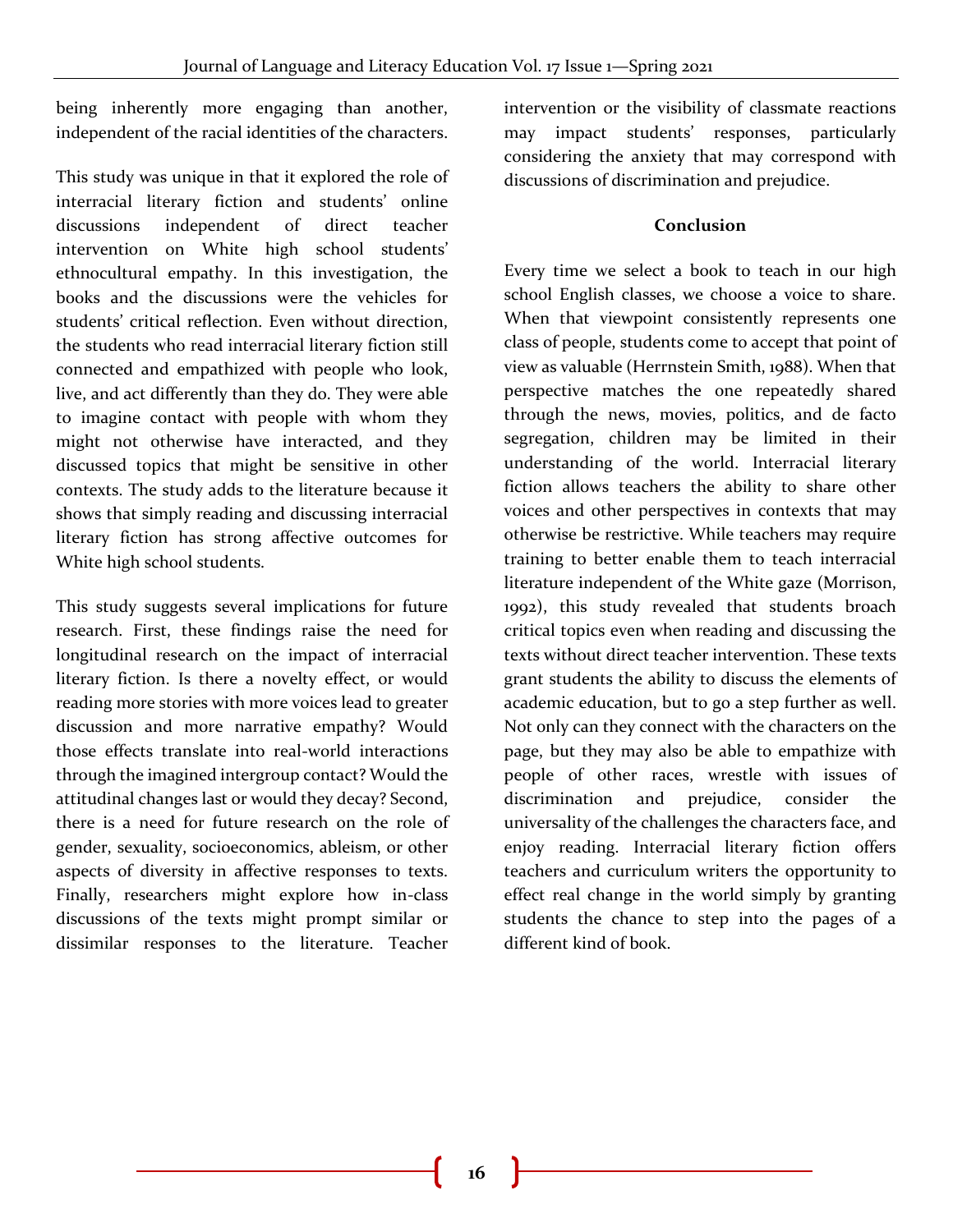being inherently more engaging than another, independent of the racial identities of the characters.

This study was unique in that it explored the role of interracial literary fiction and students' online discussions independent of direct teacher intervention on White high school students' ethnocultural empathy. In this investigation, the books and the discussions were the vehicles for students' critical reflection. Even without direction, the students who read interracial literary fiction still connected and empathized with people who look, live, and act differently than they do. They were able to imagine contact with people with whom they might not otherwise have interacted, and they discussed topics that might be sensitive in other contexts. The study adds to the literature because it shows that simply reading and discussing interracial literary fiction has strong affective outcomes for White high school students.

This study suggests several implications for future research. First, these findings raise the need for longitudinal research on the impact of interracial literary fiction. Is there a novelty effect, or would reading more stories with more voices lead to greater discussion and more narrative empathy? Would those effects translate into real-world interactions through the imagined intergroup contact? Would the attitudinal changes last or would they decay? Second, there is a need for future research on the role of gender, sexuality, socioeconomics, ableism, or other aspects of diversity in affective responses to texts. Finally, researchers might explore how in-class discussions of the texts might prompt similar or dissimilar responses to the literature. Teacher

intervention or the visibility of classmate reactions may impact students' responses, particularly considering the anxiety that may correspond with discussions of discrimination and prejudice.

#### **Conclusion**

Every time we select a book to teach in our high school English classes, we choose a voice to share. When that viewpoint consistently represents one class of people, students come to accept that point of view as valuable (Herrnstein Smith, 1988). When that perspective matches the one repeatedly shared through the news, movies, politics, and de facto segregation, children may be limited in their understanding of the world. Interracial literary fiction allows teachers the ability to share other voices and other perspectives in contexts that may otherwise be restrictive. While teachers may require training to better enable them to teach interracial literature independent of the White gaze (Morrison, 1992), this study revealed that students broach critical topics even when reading and discussing the texts without direct teacher intervention. These texts grant students the ability to discuss the elements of academic education, but to go a step further as well. Not only can they connect with the characters on the page, but they may also be able to empathize with people of other races, wrestle with issues of discrimination and prejudice, consider the universality of the challenges the characters face, and enjoy reading. Interracial literary fiction offers teachers and curriculum writers the opportunity to effect real change in the world simply by granting students the chance to step into the pages of a different kind of book.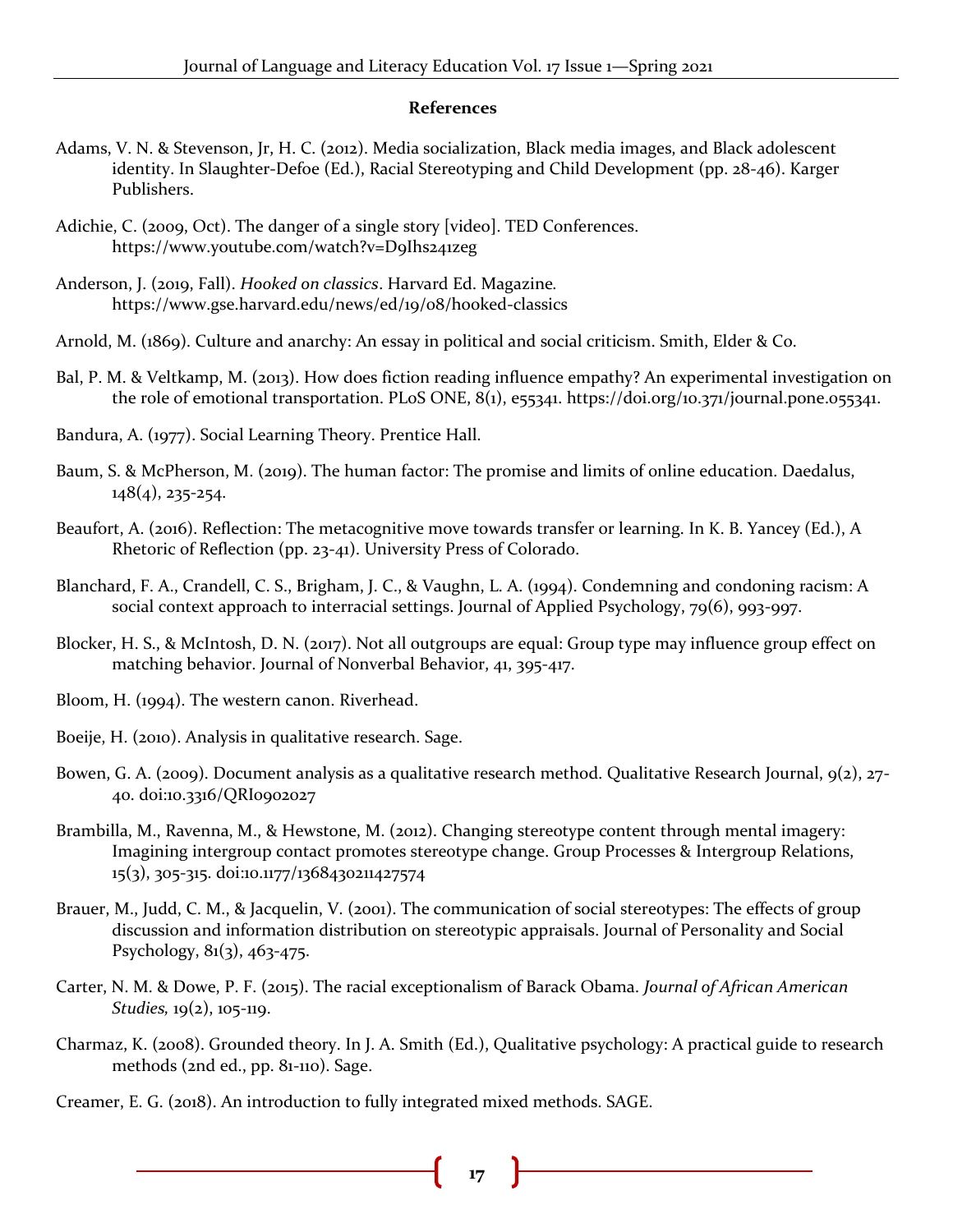#### **References**

- Adams, V. N. & Stevenson, Jr, H. C. (2012). Media socialization, Black media images, and Black adolescent identity. In Slaughter-Defoe (Ed.), Racial Stereotyping and Child Development (pp. 28-46). Karger Publishers.
- Adichie, C. (2009, Oct). The danger of a single story [video]. TED Conferences. https://www.youtube.com/watch?v=D9Ihs241zeg
- Anderson, J. (2019, Fall). *Hooked on classics*. Harvard Ed. Magazine*.*  https://www.gse.harvard.edu/news/ed/19/08/hooked-classics
- Arnold, M. (1869). Culture and anarchy: An essay in political and social criticism. Smith, Elder & Co.
- Bal, P. M. & Veltkamp, M. (2013). How does fiction reading influence empathy? An experimental investigation on the role of emotional transportation. PLoS ONE, 8(1), e55341. https://doi.org/10.371/journal.pone.055341.
- Bandura, A. (1977). Social Learning Theory. Prentice Hall.
- Baum, S. & McPherson, M. (2019). The human factor: The promise and limits of online education. Daedalus, 148(4), 235-254.
- Beaufort, A. (2016). Reflection: The metacognitive move towards transfer or learning. In K. B. Yancey (Ed.), A Rhetoric of Reflection (pp. 23-41). University Press of Colorado.
- Blanchard, F. A., Crandell, C. S., Brigham, J. C., & Vaughn, L. A. (1994). Condemning and condoning racism: A social context approach to interracial settings. Journal of Applied Psychology, 79(6), 993-997.
- Blocker, H. S., & McIntosh, D. N. (2017). Not all outgroups are equal: Group type may influence group effect on matching behavior. Journal of Nonverbal Behavior, 41, 395-417.
- Bloom, H. (1994). The western canon. Riverhead.
- Boeije, H. (2010). Analysis in qualitative research. Sage.
- Bowen, G. A. (2009). Document analysis as a qualitative research method. Qualitative Research Journal, 9(2), 27- 40. doi:10.3316/QRI0902027
- Brambilla, M., Ravenna, M., & Hewstone, M. (2012). Changing stereotype content through mental imagery: Imagining intergroup contact promotes stereotype change. Group Processes & Intergroup Relations, 15(3), 305-315. doi:10.1177/1368430211427574
- Brauer, M., Judd, C. M., & Jacquelin, V. (2001). The communication of social stereotypes: The effects of group discussion and information distribution on stereotypic appraisals. Journal of Personality and Social Psychology,  $81(3)$ ,  $463-475$ .
- Carter, N. M. & Dowe, P. F. (2015). The racial exceptionalism of Barack Obama. *Journal of African American Studies,* 19(2), 105-119.
- Charmaz, K. (2008). Grounded theory. In J. A. Smith (Ed.), Qualitative psychology: A practical guide to research methods (2nd ed., pp. 81-110). Sage.
- Creamer, E. G. (2018). An introduction to fully integrated mixed methods. SAGE.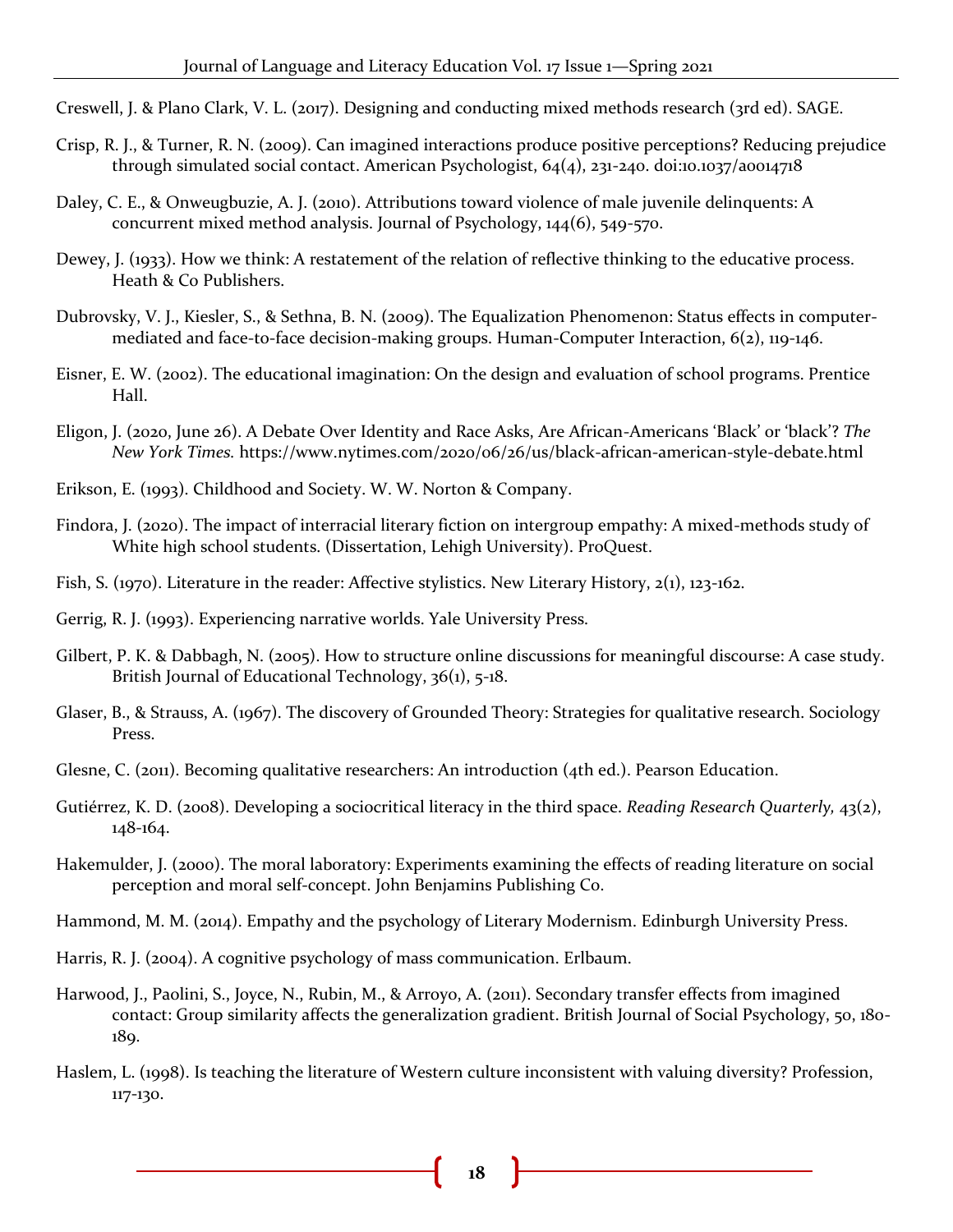Creswell, J. & Plano Clark, V. L. (2017). Designing and conducting mixed methods research (3rd ed). SAGE.

- Crisp, R. J., & Turner, R. N. (2009). Can imagined interactions produce positive perceptions? Reducing prejudice through simulated social contact. American Psychologist, 64(4), 231-240. doi:10.1037/a0014718
- Daley, C. E., & Onweugbuzie, A. J. (2010). Attributions toward violence of male juvenile delinquents: A concurrent mixed method analysis. Journal of Psychology, 144(6), 549-570.
- Dewey, J. (1933). How we think: A restatement of the relation of reflective thinking to the educative process. Heath & Co Publishers.
- Dubrovsky, V. J., Kiesler, S., & Sethna, B. N. (2009). The Equalization Phenomenon: Status effects in computermediated and face-to-face decision-making groups. Human-Computer Interaction, 6(2), 119-146.
- Eisner, E. W. (2002). The educational imagination: On the design and evaluation of school programs. Prentice Hall.
- Eligon, J. (2020, June 26). A Debate Over Identity and Race Asks, Are African-Americans 'Black' or 'black'? *The New York Times.* https://www.nytimes.com/2020/06/26/us/black-african-american-style-debate.html
- Erikson, E. (1993). Childhood and Society. W. W. Norton & Company.
- Findora, J. (2020). The impact of interracial literary fiction on intergroup empathy: A mixed-methods study of White high school students. (Dissertation, Lehigh University). ProQuest.
- Fish, S. (1970). Literature in the reader: Affective stylistics. New Literary History, 2(1), 123-162.
- Gerrig, R. J. (1993). Experiencing narrative worlds. Yale University Press.
- Gilbert, P. K. & Dabbagh, N. (2005). How to structure online discussions for meaningful discourse: A case study. British Journal of Educational Technology, 36(1), 5-18.
- Glaser, B., & Strauss, A. (1967). The discovery of Grounded Theory: Strategies for qualitative research. Sociology Press.
- Glesne, C. (2011). Becoming qualitative researchers: An introduction (4th ed.). Pearson Education.
- Gutiérrez, K. D. (2008). Developing a sociocritical literacy in the third space. *Reading Research Quarterly,* 43(2), 148-164.
- Hakemulder, J. (2000). The moral laboratory: Experiments examining the effects of reading literature on social perception and moral self-concept. John Benjamins Publishing Co.

Hammond, M. M. (2014). Empathy and the psychology of Literary Modernism. Edinburgh University Press.

Harris, R. J. (2004). A cognitive psychology of mass communication. Erlbaum.

- Harwood, J., Paolini, S., Joyce, N., Rubin, M., & Arroyo, A. (2011). Secondary transfer effects from imagined contact: Group similarity affects the generalization gradient. British Journal of Social Psychology, 50, 180- 189.
- Haslem, L. (1998). Is teaching the literature of Western culture inconsistent with valuing diversity? Profession, 117-130.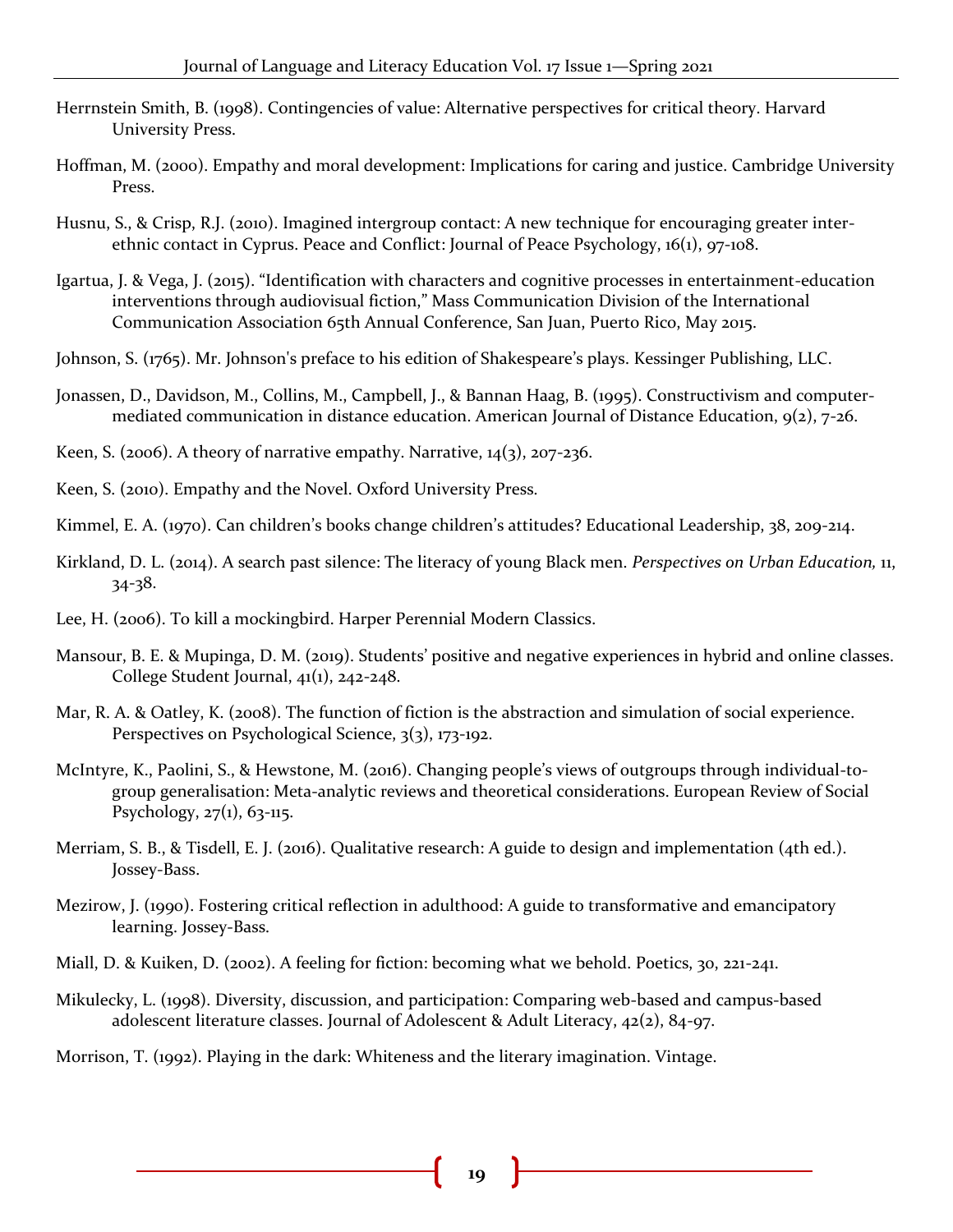- Herrnstein Smith, B. (1998). Contingencies of value: Alternative perspectives for critical theory. Harvard University Press.
- Hoffman, M. (2000). Empathy and moral development: Implications for caring and justice. Cambridge University Press.
- Husnu, S., & Crisp, R.J. (2010). Imagined intergroup contact: A new technique for encouraging greater interethnic contact in Cyprus. Peace and Conflict: Journal of Peace Psychology, 16(1), 97-108.
- Igartua, J. & Vega, J. (2015). "Identification with characters and cognitive processes in entertainment-education interventions through audiovisual fiction," Mass Communication Division of the International Communication Association 65th Annual Conference, San Juan, Puerto Rico, May 2015.
- Johnson, S. (1765). Mr. Johnson's preface to his edition of Shakespeare's plays. Kessinger Publishing, LLC.
- Jonassen, D., Davidson, M., Collins, M., Campbell, J., & Bannan Haag, B. (1995). Constructivism and computermediated communication in distance education. American Journal of Distance Education, 9(2), 7-26.
- Keen, S. (2006). A theory of narrative empathy. Narrative,  $14(3)$ , 207-236.
- Keen, S. (2010). Empathy and the Novel. Oxford University Press.
- Kimmel, E. A. (1970). Can children's books change children's attitudes? Educational Leadership, 38, 209-214.
- Kirkland, D. L. (2014). A search past silence: The literacy of young Black men. *Perspectives on Urban Education,* 11, 34-38.
- Lee, H. (2006). To kill a mockingbird. Harper Perennial Modern Classics.
- Mansour, B. E. & Mupinga, D. M. (2019). Students' positive and negative experiences in hybrid and online classes. College Student Journal, 41(1), 242-248.
- Mar, R. A. & Oatley, K. (2008). The function of fiction is the abstraction and simulation of social experience. Perspectives on Psychological Science, 3(3), 173-192.
- McIntyre, K., Paolini, S., & Hewstone, M. (2016). Changing people's views of outgroups through individual-togroup generalisation: Meta-analytic reviews and theoretical considerations. European Review of Social Psychology,  $27(1)$ , 63-115.
- Merriam, S. B., & Tisdell, E. J. (2016). Qualitative research: A guide to design and implementation (4th ed.). Jossey-Bass.
- Mezirow, J. (1990). Fostering critical reflection in adulthood: A guide to transformative and emancipatory learning. Jossey-Bass.
- Miall, D. & Kuiken, D. (2002). A feeling for fiction: becoming what we behold. Poetics, 30, 221-241.
- Mikulecky, L. (1998). Diversity, discussion, and participation: Comparing web-based and campus-based adolescent literature classes. Journal of Adolescent & Adult Literacy, 42(2), 84-97.
- Morrison, T. (1992). Playing in the dark: Whiteness and the literary imagination. Vintage.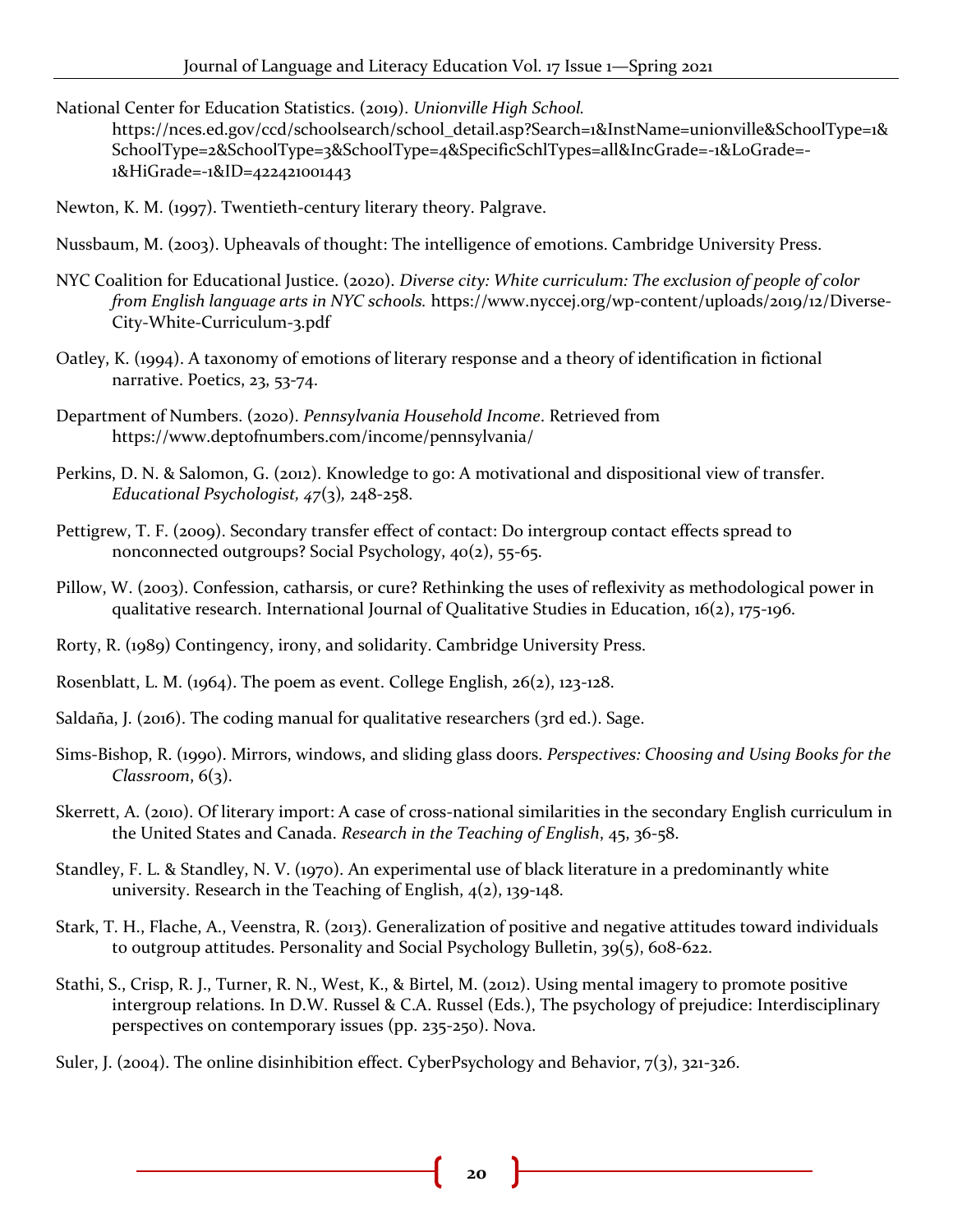National Center for Education Statistics. (2019). *Unionville High School.* 

https://nces.ed.gov/ccd/schoolsearch/school\_detail.asp?Search=1&InstName=unionville&SchoolType=1& SchoolType=2&SchoolType=3&SchoolType=4&SpecificSchlTypes=all&IncGrade=-1&LoGrade=- 1&HiGrade=-1&ID=422421001443

Newton, K. M. (1997). Twentieth-century literary theory. Palgrave.

- Nussbaum, M. (2003). Upheavals of thought: The intelligence of emotions. Cambridge University Press.
- NYC Coalition for Educational Justice. (2020). *Diverse city: White curriculum: The exclusion of people of color from English language arts in NYC schools.* https://www.nyccej.org/wp-content/uploads/2019/12/Diverse-City-White-Curriculum-3.pdf
- Oatley, K. (1994). A taxonomy of emotions of literary response and a theory of identification in fictional narrative. Poetics, 23, 53-74.
- Department of Numbers. (2020). *Pennsylvania Household Income*. Retrieved from https://www.deptofnumbers.com/income/pennsylvania/
- Perkins, D. N. & Salomon, G. (2012). Knowledge to go: A motivational and dispositional view of transfer. *Educational Psychologist, 47*(3)*,* 248-258.
- Pettigrew, T. F. (2009). Secondary transfer effect of contact: Do intergroup contact effects spread to nonconnected outgroups? Social Psychology, 40(2), 55-65.
- Pillow, W. (2003). Confession, catharsis, or cure? Rethinking the uses of reflexivity as methodological power in qualitative research. International Journal of Qualitative Studies in Education, 16(2), 175-196.
- Rorty, R. (1989) Contingency, irony, and solidarity. Cambridge University Press.
- Rosenblatt, L. M. (1964). The poem as event. College English,  $26(2)$ , 123-128.
- Saldaña, J. (2016). The coding manual for qualitative researchers (3rd ed.). Sage.
- Sims-Bishop, R. (1990). Mirrors, windows, and sliding glass doors. *Perspectives: Choosing and Using Books for the Classroom*, 6(3).
- Skerrett, A. (2010). Of literary import: A case of cross-national similarities in the secondary English curriculum in the United States and Canada. *Research in the Teaching of English*, 45, 36-58.
- Standley, F. L. & Standley, N. V. (1970). An experimental use of black literature in a predominantly white university. Research in the Teaching of English, 4(2), 139-148.
- Stark, T. H., Flache, A., Veenstra, R. (2013). Generalization of positive and negative attitudes toward individuals to outgroup attitudes. Personality and Social Psychology Bulletin, 39(5), 608-622.
- Stathi, S., Crisp, R. J., Turner, R. N., West, K., & Birtel, M. (2012). Using mental imagery to promote positive intergroup relations. In D.W. Russel & C.A. Russel (Eds.), The psychology of prejudice: Interdisciplinary perspectives on contemporary issues (pp. 235-250). Nova.
- Suler, J. (2004). The online disinhibition effect. CyberPsychology and Behavior, 7(3), 321-326.